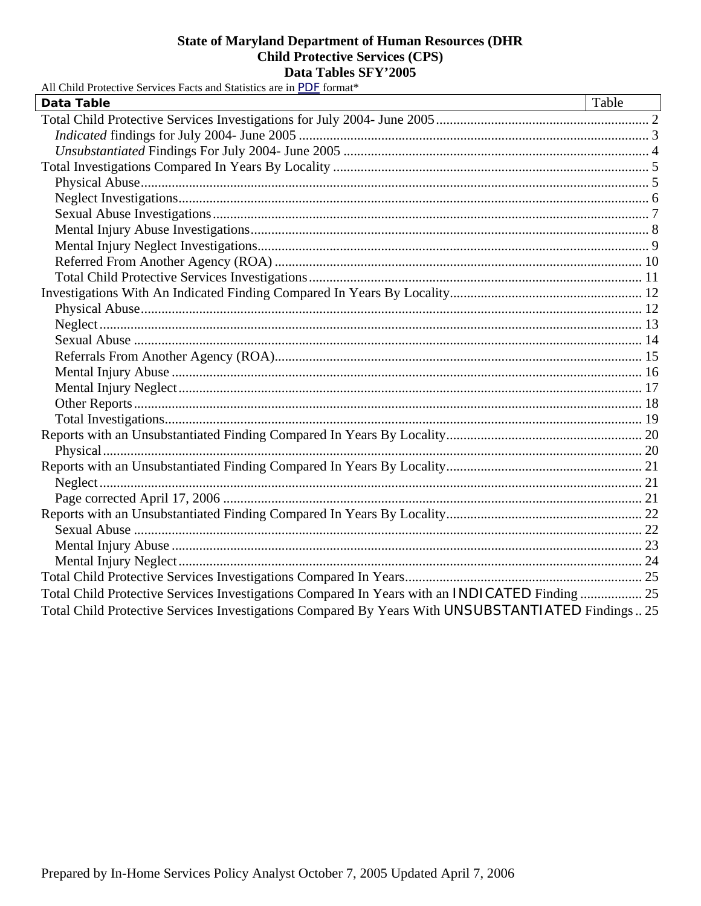| All Child Protective Services Facts and Statistics are in PDF format*                             |       |
|---------------------------------------------------------------------------------------------------|-------|
| <b>Data Table</b>                                                                                 | Table |
|                                                                                                   |       |
|                                                                                                   |       |
|                                                                                                   |       |
|                                                                                                   |       |
|                                                                                                   |       |
|                                                                                                   |       |
|                                                                                                   |       |
|                                                                                                   |       |
|                                                                                                   |       |
|                                                                                                   |       |
|                                                                                                   |       |
|                                                                                                   |       |
|                                                                                                   |       |
|                                                                                                   |       |
|                                                                                                   |       |
|                                                                                                   |       |
|                                                                                                   |       |
|                                                                                                   |       |
|                                                                                                   |       |
|                                                                                                   |       |
|                                                                                                   |       |
|                                                                                                   |       |
|                                                                                                   |       |
|                                                                                                   |       |
|                                                                                                   |       |
|                                                                                                   |       |
|                                                                                                   |       |
|                                                                                                   |       |
|                                                                                                   |       |
|                                                                                                   |       |
| Total Child Protective Services Investigations Compared In Years with an INDICATED Finding  25    |       |
| Total Child Protective Services Investigations Compared By Years With UNSUBSTANTIATED Findings 25 |       |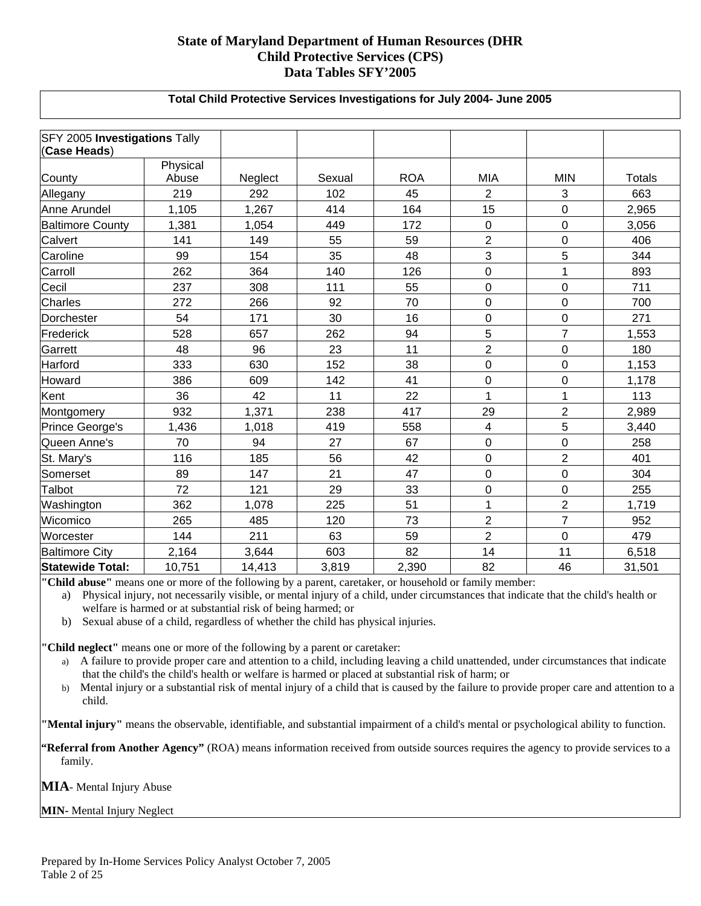#### **Total Child Protective Services Investigations for July 2004- June 2005**

<span id="page-1-0"></span>

| SFY 2005 Investigations Tally<br>(Case Heads) |          |         |        |            |                |                |        |
|-----------------------------------------------|----------|---------|--------|------------|----------------|----------------|--------|
|                                               | Physical |         |        |            |                |                |        |
| County                                        | Abuse    | Neglect | Sexual | <b>ROA</b> | <b>MIA</b>     | <b>MIN</b>     | Totals |
| Allegany                                      | 219      | 292     | 102    | 45         | $\overline{2}$ | 3              | 663    |
| Anne Arundel                                  | 1,105    | 1,267   | 414    | 164        | 15             | $\overline{0}$ | 2,965  |
| <b>Baltimore County</b>                       | 1,381    | 1,054   | 449    | 172        | 0              | $\mathbf 0$    | 3,056  |
| <b>Calvert</b>                                | 141      | 149     | 55     | 59         | $\overline{2}$ | $\mathbf 0$    | 406    |
| Caroline                                      | 99       | 154     | 35     | 48         | 3              | 5              | 344    |
| Carroll                                       | 262      | 364     | 140    | 126        | $\mathbf 0$    | 1              | 893    |
| Cecil                                         | 237      | 308     | 111    | 55         | $\mathsf 0$    | 0              | 711    |
| <b>Charles</b>                                | 272      | 266     | 92     | 70         | $\pmb{0}$      | $\mathbf 0$    | 700    |
| Dorchester                                    | 54       | 171     | 30     | 16         | $\pmb{0}$      | $\mathbf 0$    | 271    |
| Frederick                                     | 528      | 657     | 262    | 94         | 5              | $\overline{7}$ | 1,553  |
| Garrett                                       | 48       | 96      | 23     | 11         | $\overline{2}$ | $\mathbf 0$    | 180    |
| Harford                                       | 333      | 630     | 152    | 38         | $\pmb{0}$      | $\mathbf 0$    | 1,153  |
| Howard                                        | 386      | 609     | 142    | 41         | $\mathbf 0$    | 0              | 1,178  |
| Kent                                          | 36       | 42      | 11     | 22         | $\mathbf{1}$   | 1              | 113    |
| Montgomery                                    | 932      | 1,371   | 238    | 417        | 29             | $\overline{2}$ | 2,989  |
| Prince George's                               | 1,436    | 1,018   | 419    | 558        | 4              | 5              | 3,440  |
| Queen Anne's                                  | 70       | 94      | 27     | 67         | 0              | $\mathbf 0$    | 258    |
| St. Mary's                                    | 116      | 185     | 56     | 42         | $\mathbf 0$    | $\overline{2}$ | 401    |
| Somerset                                      | 89       | 147     | 21     | 47         | $\mathsf 0$    | $\mathbf 0$    | 304    |
| Talbot                                        | 72       | 121     | 29     | 33         | 0              | 0              | 255    |
| Washington                                    | 362      | 1,078   | 225    | 51         | $\mathbf{1}$   | $\overline{2}$ | 1,719  |
| Wicomico                                      | 265      | 485     | 120    | 73         | $\overline{2}$ | $\overline{7}$ | 952    |
| Worcester                                     | 144      | 211     | 63     | 59         | $\overline{2}$ | $\mathbf 0$    | 479    |
| <b>Baltimore City</b>                         | 2,164    | 3,644   | 603    | 82         | 14             | 11             | 6,518  |
| <b>Statewide Total:</b>                       | 10,751   | 14,413  | 3,819  | 2,390      | 82             | 46             | 31,501 |

**"Child abuse"** means one or more of the following by a parent, caretaker, or household or family member:

a) Physical injury, not necessarily visible, or mental injury of a child, under circumstances that indicate that the child's health or welfare is harmed or at substantial risk of being harmed; or

b) Sexual abuse of a child, regardless of whether the child has physical injuries.

**"Child neglect"** means one or more of the following by a parent or caretaker:

- a) A failure to provide proper care and attention to a child, including leaving a child unattended, under circumstances that indicate that the child's the child's health or welfare is harmed or placed at substantial risk of harm; or
- b) Mental injury or a substantial risk of mental injury of a child that is caused by the failure to provide proper care and attention to a child.

**"Mental injury"** means the observable, identifiable, and substantial impairment of a child's mental or psychological ability to function.

**"Referral from Another Agency"** (ROA) means information received from outside sources requires the agency to provide services to a family.

**MIA**- Mental Injury Abuse

**MIN-** Mental Injury Neglect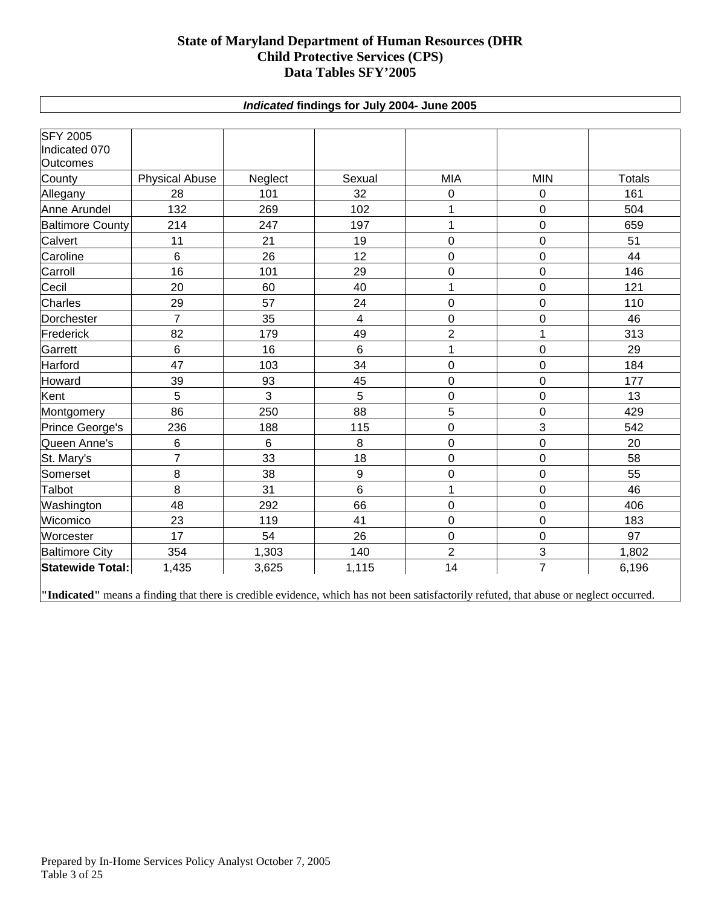#### *Indicated* **findings for July 2004- June 2005**

<span id="page-2-0"></span>

| <b>SFY 2005</b>         |                       |                |                         |                |                |               |
|-------------------------|-----------------------|----------------|-------------------------|----------------|----------------|---------------|
| Indicated 070           |                       |                |                         |                |                |               |
| <b>Outcomes</b>         |                       |                |                         |                |                |               |
| County                  | <b>Physical Abuse</b> | Neglect        | Sexual                  | <b>MIA</b>     | <b>MIN</b>     | <b>Totals</b> |
| Allegany                | 28                    | 101            | 32                      | 0              | 0              | 161           |
| Anne Arundel            | 132                   | 269            | 102                     | 1              | $\overline{0}$ | 504           |
| <b>Baltimore County</b> | 214                   | 247            | 197                     | 1              | $\pmb{0}$      | 659           |
| Calvert                 | 11                    | 21             | 19                      | 0              | 0              | 51            |
| Caroline                | 6                     | 26             | 12                      | 0              | $\pmb{0}$      | 44            |
| Carroll                 | 16                    | 101            | 29                      | 0              | 0              | 146           |
| Cecil                   | 20                    | 60             | 40                      | 1              | $\pmb{0}$      | 121           |
| Charles                 | 29                    | 57             | 24                      | 0              | 0              | 110           |
| Dorchester              | $\overline{7}$        | 35             | $\overline{\mathbf{4}}$ | 0              | $\mathbf 0$    | 46            |
| Frederick               | 82                    | 179            | 49                      | $\overline{2}$ | 1              | 313           |
| Garrett                 | 6                     | 16             | $6\phantom{1}$          | 1              | $\mathbf 0$    | 29            |
| Harford                 | 47                    | 103            | 34                      | $\mathbf 0$    | $\mathbf 0$    | 184           |
| Howard                  | 39                    | 93             | 45                      | 0              | $\mathbf 0$    | 177           |
| Kent                    | 5                     | 3              | 5                       | $\mathbf 0$    | $\mathbf 0$    | 13            |
| Montgomery              | 86                    | 250            | 88                      | 5              | $\mathbf 0$    | 429           |
| Prince George's         | 236                   | 188            | 115                     | 0              | 3              | 542           |
| Queen Anne's            | 6                     | $6\phantom{1}$ | 8                       | $\pmb{0}$      | $\pmb{0}$      | 20            |
| St. Mary's              | $\overline{7}$        | 33             | 18                      | 0              | $\pmb{0}$      | 58            |
| Somerset                | 8                     | 38             | $\boldsymbol{9}$        | 0              | $\pmb{0}$      | 55            |
| Talbot                  | 8                     | 31             | $6\phantom{a}$          | 1              | $\mathbf 0$    | 46            |
| Washington              | 48                    | 292            | 66                      | $\mathbf 0$    | $\mathbf 0$    | 406           |
| Wicomico                | 23                    | 119            | 41                      | 0              | $\pmb{0}$      | 183           |
| Worcester               | 17                    | 54             | 26                      | $\mathbf 0$    | $\mathbf 0$    | 97            |
| <b>Baltimore City</b>   | 354                   | 1,303          | 140                     | $\overline{c}$ | 3              | 1,802         |
| Statewide Total:        | 1,435                 | 3,625          | 1,115                   | 14             | $\overline{7}$ | 6,196         |

**"Indicated"** means a finding that there is credible evidence, which has not been satisfactorily refuted, that abuse or neglect occurred.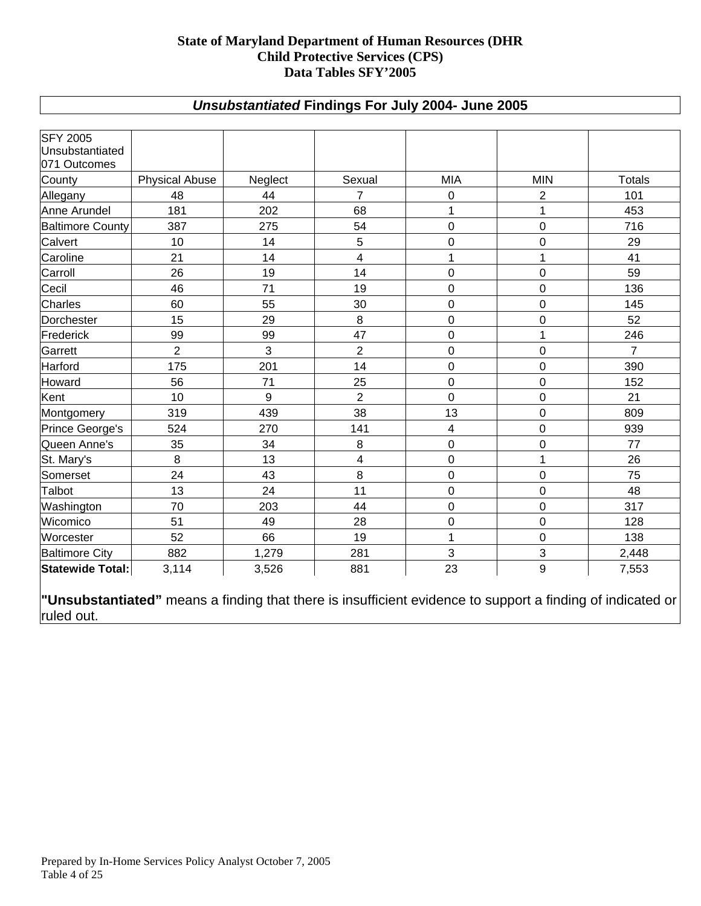# *Unsubstantiated* **Findings For July 2004- June 2005**

<span id="page-3-0"></span>

| <b>SFY 2005</b><br>Unsubstantiated<br>071 Outcomes |                       |         |                         |                  |                |                |
|----------------------------------------------------|-----------------------|---------|-------------------------|------------------|----------------|----------------|
| County                                             | <b>Physical Abuse</b> | Neglect | Sexual                  | <b>MIA</b>       | <b>MIN</b>     | <b>Totals</b>  |
| Allegany                                           | 48                    | 44      | $\overline{7}$          | 0                | $\overline{2}$ | 101            |
| Anne Arundel                                       | 181                   | 202     | 68                      | 1                | 1              | 453            |
| <b>Baltimore County</b>                            | 387                   | 275     | 54                      | $\overline{0}$   | $\mathbf 0$    | 716            |
| Calvert                                            | 10                    | 14      | 5                       | $\overline{0}$   | $\mathbf 0$    | 29             |
| Caroline                                           | 21                    | 14      | $\overline{\mathbf{4}}$ | 1                | $\mathbf{1}$   | 41             |
| Carroll                                            | 26                    | 19      | 14                      | $\mathbf 0$      | $\mathbf 0$    | 59             |
| Cecil                                              | 46                    | 71      | 19                      | $\overline{0}$   | $\mathbf 0$    | 136            |
| Charles                                            | 60                    | 55      | 30                      | $\boldsymbol{0}$ | $\mathbf 0$    | 145            |
| Dorchester                                         | 15                    | 29      | 8                       | 0                | $\mathbf 0$    | 52             |
| Frederick                                          | 99                    | 99      | 47                      | $\overline{0}$   | 1              | 246            |
| Garrett                                            | $\overline{2}$        | 3       | $\overline{2}$          | 0                | $\mathbf 0$    | $\overline{7}$ |
| Harford                                            | 175                   | 201     | 14                      | 0                | $\mathbf 0$    | 390            |
| Howard                                             | 56                    | 71      | 25                      | 0                | $\mathbf 0$    | 152            |
| Kent                                               | 10                    | 9       | $\overline{2}$          | $\overline{0}$   | $\mathbf 0$    | 21             |
| Montgomery                                         | 319                   | 439     | 38                      | 13               | $\mathbf 0$    | 809            |
| Prince George's                                    | 524                   | 270     | 141                     | 4                | $\mathbf 0$    | 939            |
| Queen Anne's                                       | 35                    | 34      | 8                       | 0                | $\mathbf 0$    | 77             |
| St. Mary's                                         | 8                     | 13      | 4                       | $\mathbf 0$      | 1              | 26             |
| Somerset                                           | 24                    | 43      | 8                       | $\mathbf 0$      | $\mathbf 0$    | 75             |
| Talbot                                             | 13                    | 24      | 11                      | $\overline{0}$   | $\mathbf 0$    | 48             |
| Washington                                         | 70                    | 203     | 44                      | 0                | $\mathbf 0$    | 317            |
| Wicomico                                           | 51                    | 49      | 28                      | $\mathbf 0$      | $\mathbf 0$    | 128            |
| Worcester                                          | 52                    | 66      | 19                      | 1                | $\mathbf 0$    | 138            |
| <b>Baltimore City</b>                              | 882                   | 1,279   | 281                     | 3                | 3              | 2,448          |
| <b>Statewide Total:</b>                            | 3,114                 | 3,526   | 881                     | 23               | 9              | 7,553          |

**"Unsubstantiated"** means a finding that there is insufficient evidence to support a finding of indicated or ruled out.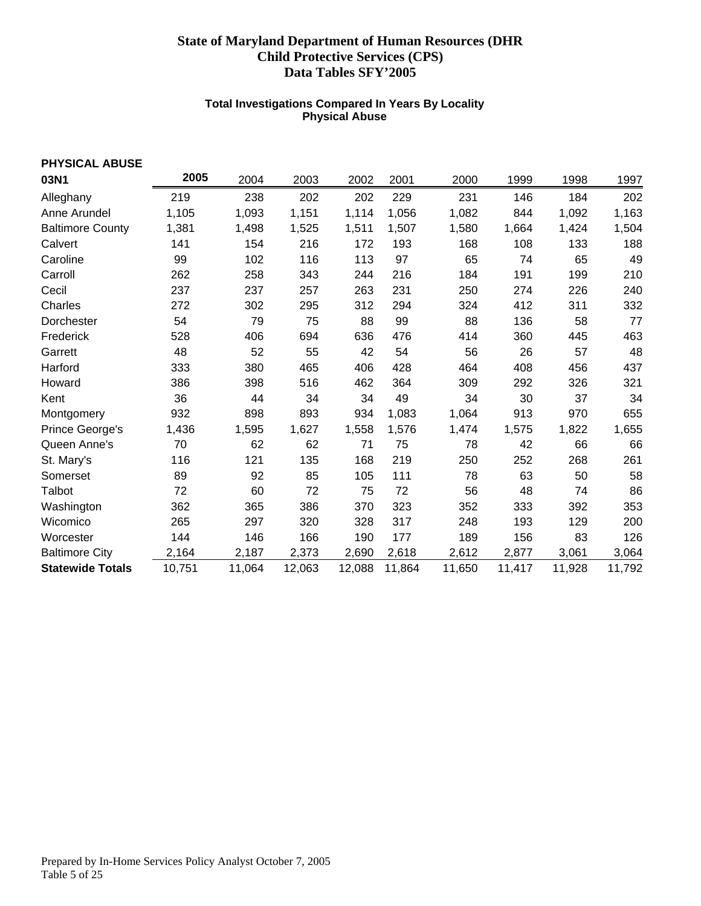#### **Total Investigations Compared In Years By Locality Physical Abuse**

<span id="page-4-0"></span>

| PHYSICAL ABUSE          |        |        |        |        |        |        |        |        |        |
|-------------------------|--------|--------|--------|--------|--------|--------|--------|--------|--------|
| 03N1                    | 2005   | 2004   | 2003   | 2002   | 2001   | 2000   | 1999   | 1998   | 1997   |
| Alleghany               | 219    | 238    | 202    | 202    | 229    | 231    | 146    | 184    | 202    |
| Anne Arundel            | 1,105  | 1,093  | 1,151  | 1,114  | 1,056  | 1,082  | 844    | 1,092  | 1,163  |
| <b>Baltimore County</b> | 1,381  | 1,498  | 1,525  | 1,511  | 1,507  | 1,580  | 1,664  | 1,424  | 1,504  |
| Calvert                 | 141    | 154    | 216    | 172    | 193    | 168    | 108    | 133    | 188    |
| Caroline                | 99     | 102    | 116    | 113    | 97     | 65     | 74     | 65     | 49     |
| Carroll                 | 262    | 258    | 343    | 244    | 216    | 184    | 191    | 199    | 210    |
| Cecil                   | 237    | 237    | 257    | 263    | 231    | 250    | 274    | 226    | 240    |
| Charles                 | 272    | 302    | 295    | 312    | 294    | 324    | 412    | 311    | 332    |
| Dorchester              | 54     | 79     | 75     | 88     | 99     | 88     | 136    | 58     | 77     |
| Frederick               | 528    | 406    | 694    | 636    | 476    | 414    | 360    | 445    | 463    |
| Garrett                 | 48     | 52     | 55     | 42     | 54     | 56     | 26     | 57     | 48     |
| Harford                 | 333    | 380    | 465    | 406    | 428    | 464    | 408    | 456    | 437    |
| Howard                  | 386    | 398    | 516    | 462    | 364    | 309    | 292    | 326    | 321    |
| Kent                    | 36     | 44     | 34     | 34     | 49     | 34     | 30     | 37     | 34     |
| Montgomery              | 932    | 898    | 893    | 934    | 1,083  | 1,064  | 913    | 970    | 655    |
| Prince George's         | 1,436  | 1,595  | 1,627  | 1,558  | 1,576  | 1,474  | 1,575  | 1,822  | 1,655  |
| Queen Anne's            | 70     | 62     | 62     | 71     | 75     | 78     | 42     | 66     | 66     |
| St. Mary's              | 116    | 121    | 135    | 168    | 219    | 250    | 252    | 268    | 261    |
| Somerset                | 89     | 92     | 85     | 105    | 111    | 78     | 63     | 50     | 58     |
| Talbot                  | 72     | 60     | 72     | 75     | 72     | 56     | 48     | 74     | 86     |
| Washington              | 362    | 365    | 386    | 370    | 323    | 352    | 333    | 392    | 353    |
| Wicomico                | 265    | 297    | 320    | 328    | 317    | 248    | 193    | 129    | 200    |
| Worcester               | 144    | 146    | 166    | 190    | 177    | 189    | 156    | 83     | 126    |
| <b>Baltimore City</b>   | 2,164  | 2,187  | 2,373  | 2,690  | 2,618  | 2,612  | 2,877  | 3,061  | 3,064  |
| <b>Statewide Totals</b> | 10,751 | 11,064 | 12,063 | 12,088 | 11,864 | 11,650 | 11,417 | 11,928 | 11,792 |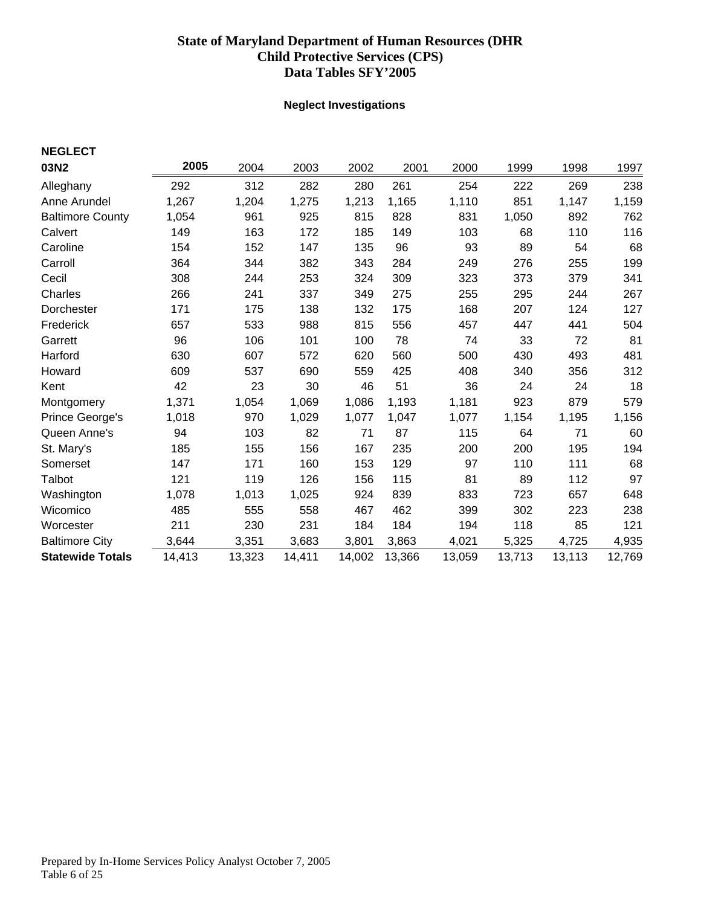### **Neglect Investigations**

<span id="page-5-0"></span>

| <b>NEGLECT</b>          |        |        |        |        |        |        |        |        |        |
|-------------------------|--------|--------|--------|--------|--------|--------|--------|--------|--------|
| 03N2                    | 2005   | 2004   | 2003   | 2002   | 2001   | 2000   | 1999   | 1998   | 1997   |
| Alleghany               | 292    | 312    | 282    | 280    | 261    | 254    | 222    | 269    | 238    |
| Anne Arundel            | 1,267  | 1,204  | 1,275  | 1,213  | 1,165  | 1,110  | 851    | 1,147  | 1,159  |
| <b>Baltimore County</b> | 1,054  | 961    | 925    | 815    | 828    | 831    | 1,050  | 892    | 762    |
| Calvert                 | 149    | 163    | 172    | 185    | 149    | 103    | 68     | 110    | 116    |
| Caroline                | 154    | 152    | 147    | 135    | 96     | 93     | 89     | 54     | 68     |
| Carroll                 | 364    | 344    | 382    | 343    | 284    | 249    | 276    | 255    | 199    |
| Cecil                   | 308    | 244    | 253    | 324    | 309    | 323    | 373    | 379    | 341    |
| Charles                 | 266    | 241    | 337    | 349    | 275    | 255    | 295    | 244    | 267    |
| Dorchester              | 171    | 175    | 138    | 132    | 175    | 168    | 207    | 124    | 127    |
| Frederick               | 657    | 533    | 988    | 815    | 556    | 457    | 447    | 441    | 504    |
| Garrett                 | 96     | 106    | 101    | 100    | 78     | 74     | 33     | 72     | 81     |
| Harford                 | 630    | 607    | 572    | 620    | 560    | 500    | 430    | 493    | 481    |
| Howard                  | 609    | 537    | 690    | 559    | 425    | 408    | 340    | 356    | 312    |
| Kent                    | 42     | 23     | 30     | 46     | 51     | 36     | 24     | 24     | 18     |
| Montgomery              | 1,371  | 1,054  | 1,069  | 1,086  | 1,193  | 1,181  | 923    | 879    | 579    |
| Prince George's         | 1,018  | 970    | 1,029  | 1,077  | 1,047  | 1,077  | 1,154  | 1,195  | 1,156  |
| Queen Anne's            | 94     | 103    | 82     | 71     | 87     | 115    | 64     | 71     | 60     |
| St. Mary's              | 185    | 155    | 156    | 167    | 235    | 200    | 200    | 195    | 194    |
| Somerset                | 147    | 171    | 160    | 153    | 129    | 97     | 110    | 111    | 68     |
| Talbot                  | 121    | 119    | 126    | 156    | 115    | 81     | 89     | 112    | 97     |
| Washington              | 1,078  | 1,013  | 1,025  | 924    | 839    | 833    | 723    | 657    | 648    |
| Wicomico                | 485    | 555    | 558    | 467    | 462    | 399    | 302    | 223    | 238    |
| Worcester               | 211    | 230    | 231    | 184    | 184    | 194    | 118    | 85     | 121    |
| <b>Baltimore City</b>   | 3,644  | 3,351  | 3,683  | 3,801  | 3,863  | 4,021  | 5,325  | 4,725  | 4,935  |
| <b>Statewide Totals</b> | 14,413 | 13,323 | 14,411 | 14,002 | 13,366 | 13,059 | 13,713 | 13,113 | 12,769 |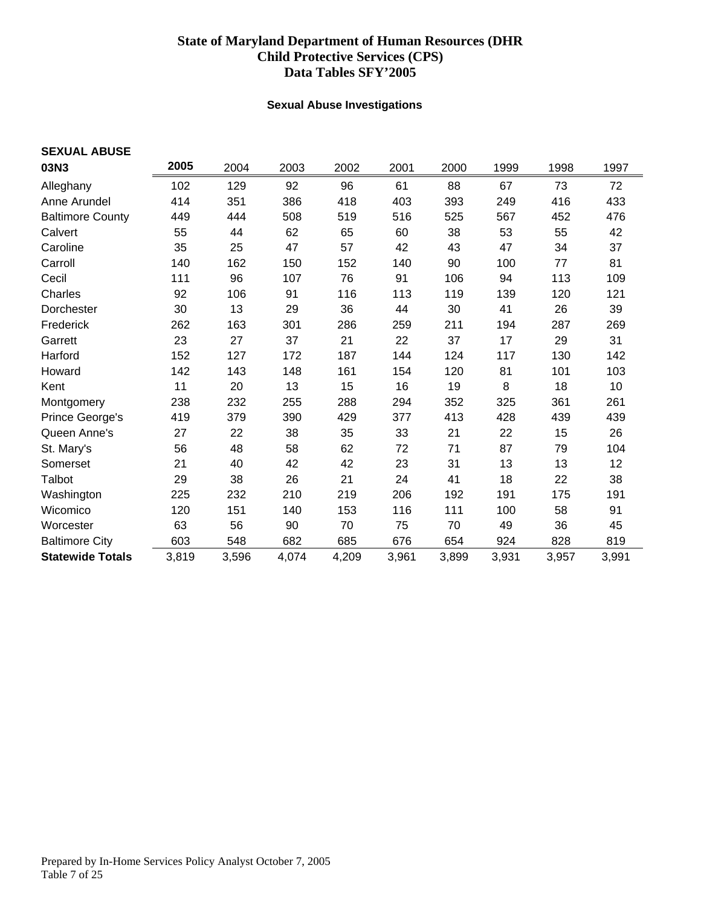### **Sexual Abuse Investigations**

<span id="page-6-0"></span>

| <b>SEXUAL ABUSE</b>     |       |       |       |       |       |       |       |       |       |
|-------------------------|-------|-------|-------|-------|-------|-------|-------|-------|-------|
| 03N3                    | 2005  | 2004  | 2003  | 2002  | 2001  | 2000  | 1999  | 1998  | 1997  |
| Alleghany               | 102   | 129   | 92    | 96    | 61    | 88    | 67    | 73    | 72    |
| Anne Arundel            | 414   | 351   | 386   | 418   | 403   | 393   | 249   | 416   | 433   |
| <b>Baltimore County</b> | 449   | 444   | 508   | 519   | 516   | 525   | 567   | 452   | 476   |
| Calvert                 | 55    | 44    | 62    | 65    | 60    | 38    | 53    | 55    | 42    |
| Caroline                | 35    | 25    | 47    | 57    | 42    | 43    | 47    | 34    | 37    |
| Carroll                 | 140   | 162   | 150   | 152   | 140   | 90    | 100   | 77    | 81    |
| Cecil                   | 111   | 96    | 107   | 76    | 91    | 106   | 94    | 113   | 109   |
| Charles                 | 92    | 106   | 91    | 116   | 113   | 119   | 139   | 120   | 121   |
| Dorchester              | 30    | 13    | 29    | 36    | 44    | 30    | 41    | 26    | 39    |
| Frederick               | 262   | 163   | 301   | 286   | 259   | 211   | 194   | 287   | 269   |
| Garrett                 | 23    | 27    | 37    | 21    | 22    | 37    | 17    | 29    | 31    |
| Harford                 | 152   | 127   | 172   | 187   | 144   | 124   | 117   | 130   | 142   |
| Howard                  | 142   | 143   | 148   | 161   | 154   | 120   | 81    | 101   | 103   |
| Kent                    | 11    | 20    | 13    | 15    | 16    | 19    | 8     | 18    | 10    |
| Montgomery              | 238   | 232   | 255   | 288   | 294   | 352   | 325   | 361   | 261   |
| Prince George's         | 419   | 379   | 390   | 429   | 377   | 413   | 428   | 439   | 439   |
| Queen Anne's            | 27    | 22    | 38    | 35    | 33    | 21    | 22    | 15    | 26    |
| St. Mary's              | 56    | 48    | 58    | 62    | 72    | 71    | 87    | 79    | 104   |
| Somerset                | 21    | 40    | 42    | 42    | 23    | 31    | 13    | 13    | 12    |
| Talbot                  | 29    | 38    | 26    | 21    | 24    | 41    | 18    | 22    | 38    |
| Washington              | 225   | 232   | 210   | 219   | 206   | 192   | 191   | 175   | 191   |
| Wicomico                | 120   | 151   | 140   | 153   | 116   | 111   | 100   | 58    | 91    |
| Worcester               | 63    | 56    | 90    | 70    | 75    | 70    | 49    | 36    | 45    |
| <b>Baltimore City</b>   | 603   | 548   | 682   | 685   | 676   | 654   | 924   | 828   | 819   |
| <b>Statewide Totals</b> | 3,819 | 3,596 | 4,074 | 4,209 | 3,961 | 3,899 | 3,931 | 3,957 | 3,991 |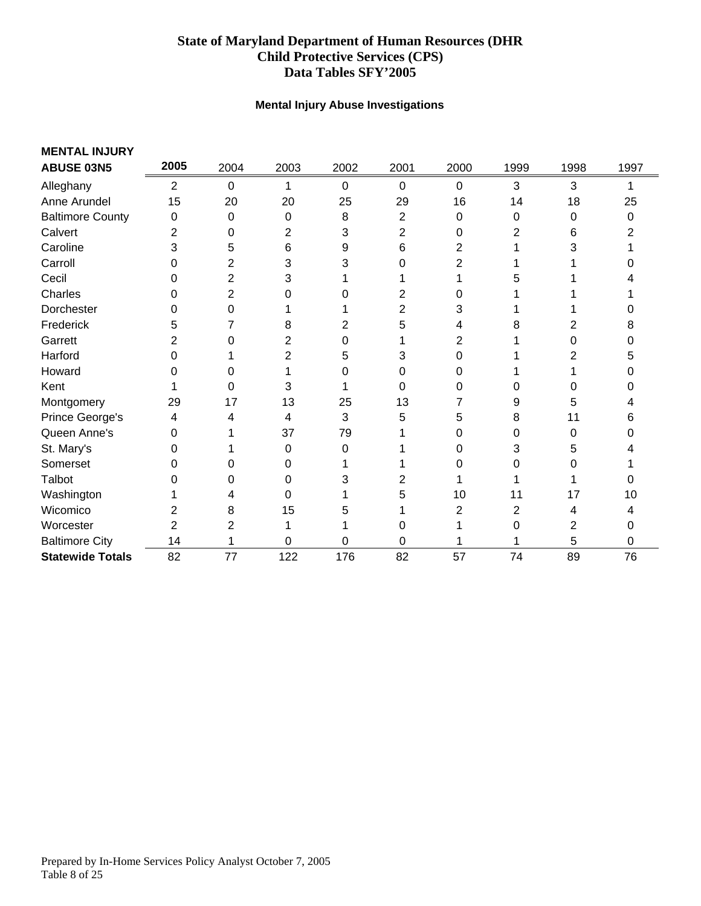### **Mental Injury Abuse Investigations**

<span id="page-7-0"></span>

| <b>MENTAL INJURY</b>    |                |             |                |             |             |      |      |      |      |
|-------------------------|----------------|-------------|----------------|-------------|-------------|------|------|------|------|
| <b>ABUSE 03N5</b>       | 2005           | 2004        | 2003           | 2002        | 2001        | 2000 | 1999 | 1998 | 1997 |
| Alleghany               | $\overline{2}$ | $\mathbf 0$ | 1              | $\mathbf 0$ | $\mathbf 0$ | 0    | 3    | 3    | 1    |
| Anne Arundel            | 15             | 20          | 20             | 25          | 29          | 16   | 14   | 18   | 25   |
| <b>Baltimore County</b> | 0              | 0           | 0              | 8           | 2           | 0    | 0    | 0    | 0    |
| Calvert                 | 2              | 0           | $\overline{2}$ | 3           | 2           | 0    | 2    | 6    |      |
| Caroline                | 3              | 5           | 6              | 9           | 6           | 2    |      | 3    |      |
| Carroll                 | 0              | 2           | 3              | 3           | 0           | 2    |      |      |      |
| Cecil                   | 0              | 2           | 3              |             |             |      | 5    |      |      |
| Charles                 | 0              | 2           | 0              | O           | 2           | 0    |      |      |      |
| Dorchester              | 0              | 0           |                |             | 2           | 3    |      |      | 0    |
| Frederick               | 5              | 7           | 8              | 2           | 5           | 4    | 8    | 2    | 8    |
| Garrett                 | 2              | 0           | 2              | 0           |             | 2    |      | 0    | 0    |
| Harford                 | 0              |             | 2              | 5           | 3           | 0    |      | 2    | 5    |
| Howard                  | 0              | 0           |                | 0           | 0           | 0    |      |      | 0    |
| Kent                    |                | 0           | 3              |             | 0           | 0    | 0    | 0    | 0    |
| Montgomery              | 29             | 17          | 13             | 25          | 13          |      | 9    | 5    |      |
| Prince George's         | 4              | 4           | 4              | 3           | 5           | 5    | 8    | 11   | 6    |
| Queen Anne's            | 0              |             | 37             | 79          |             | 0    | 0    | 0    | 0    |
| St. Mary's              | 0              |             | 0              | 0           |             | 0    | 3    | 5    |      |
| Somerset                | 0              | 0           | 0              |             |             | 0    | 0    | 0    |      |
| Talbot                  | ი              | 0           | 0              | 3           | 2           |      |      |      | 0    |
| Washington              |                | 4           | 0              |             | 5           | 10   | 11   | 17   | 10   |
| Wicomico                | 2              | 8           | 15             | 5           |             | 2    | 2    | 4    | 4    |
| Worcester               | 2              | 2           | 1              |             | 0           |      | 0    | 2    | 0    |
| <b>Baltimore City</b>   | 14             |             | 0              | 0           | 0           |      |      | 5    | 0    |
| <b>Statewide Totals</b> | 82             | 77          | 122            | 176         | 82          | 57   | 74   | 89   | 76   |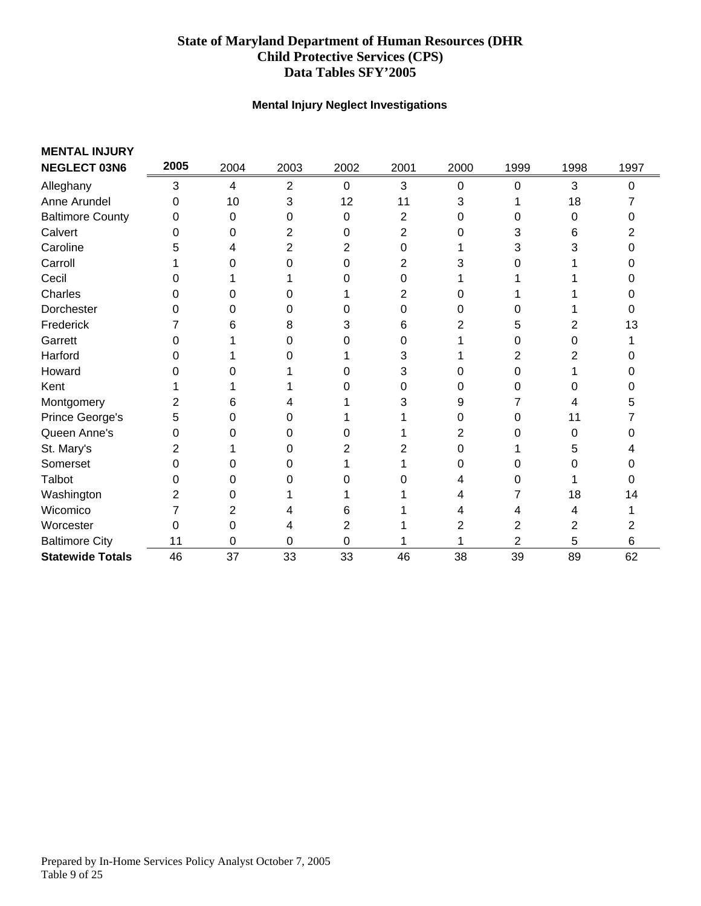### **Mental Injury Neglect Investigations**

<span id="page-8-0"></span>

| <b>MENTAL INJURY</b>    |      |      |      |      |      |          |      |      |      |
|-------------------------|------|------|------|------|------|----------|------|------|------|
| <b>NEGLECT 03N6</b>     | 2005 | 2004 | 2003 | 2002 | 2001 | 2000     | 1999 | 1998 | 1997 |
| Alleghany               | 3    | 4    | 2    | 0    | 3    | $\Omega$ | 0    | 3    | 0    |
| Anne Arundel            | 0    | 10   | 3    | 12   | 11   | 3        |      | 18   |      |
| <b>Baltimore County</b> | 0    | 0    | 0    | 0    | 2    | 0        | 0    | 0    | ი    |
| Calvert                 | 0    | 0    | 2    | 0    | 2    | 0        | 3    | 6    |      |
| Caroline                | 5    | 4    | 2    | 2    | 0    |          | 3    | 3    | 0    |
| Carroll                 |      | 0    | 0    | 0    | 2    | 3        | 0    |      | O    |
| Cecil                   | O    |      |      | 0    | 0    |          |      |      | ი    |
| Charles                 | 0    | 0    | 0    |      | 2    | 0        |      |      | 0    |
| Dorchester              | 0    | 0    | 0    | 0    | 0    | 0        | 0    |      | 0    |
| Frederick               |      | 6    | 8    | 3    | 6    | 2        | 5    | 2    | 13   |
| Garrett                 | 0    |      | 0    | 0    | 0    |          | 0    | 0    |      |
| Harford                 | 0    |      |      |      | 3    |          | 2    | 2    |      |
| Howard                  | 0    | 0    |      | 0    | 3    | 0        | 0    |      | 0    |
| Kent                    |      |      |      | 0    | 0    | ი        | 0    | 0    | ი    |
| Montgomery              | 2    | 6    |      |      | 3    | 9        |      | 4    | 5    |
| Prince George's         | 5    | 0    | 0    |      |      | 0        | 0    | 11   |      |
| Queen Anne's            | 0    | 0    | 0    | 0    |      | 2        | 0    | 0    |      |
| St. Mary's              | 2    |      | 0    | 2    |      | ი        |      | 5    |      |
| Somerset                | 0    | 0    | 0    |      |      | 0        | 0    | 0    | 0    |
| Talbot                  | 0    | 0    |      | 0    |      |          | 0    |      | 0    |
| Washington              | 2    | 0    |      |      |      |          | 7    | 18   | 14   |
| Wicomico                |      | 2    |      | 6    |      |          | 4    | 4    |      |
| Worcester               | 0    | 0    | 4    | 2    |      | 2        | 2    | 2    | 2    |
| <b>Baltimore City</b>   | 11   | 0    | 0    | 0    |      |          | 2    | 5    | 6    |
| <b>Statewide Totals</b> | 46   | 37   | 33   | 33   | 46   | 38       | 39   | 89   | 62   |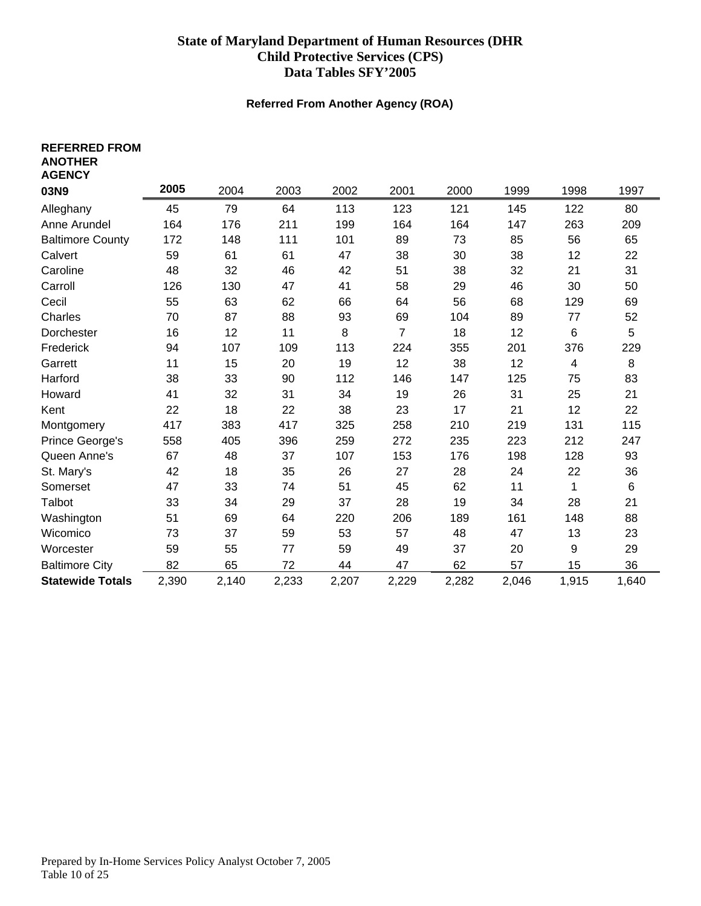#### **Referred From Another Agency (ROA)**

<span id="page-9-0"></span>

| <b>REFERRED FROM</b><br><b>ANOTHER</b><br><b>AGENCY</b> |       |       |       |       |       |       |       |       |       |
|---------------------------------------------------------|-------|-------|-------|-------|-------|-------|-------|-------|-------|
| 03N9                                                    | 2005  | 2004  | 2003  | 2002  | 2001  | 2000  | 1999  | 1998  | 1997  |
| Alleghany                                               | 45    | 79    | 64    | 113   | 123   | 121   | 145   | 122   | 80    |
| Anne Arundel                                            | 164   | 176   | 211   | 199   | 164   | 164   | 147   | 263   | 209   |
| <b>Baltimore County</b>                                 | 172   | 148   | 111   | 101   | 89    | 73    | 85    | 56    | 65    |
| Calvert                                                 | 59    | 61    | 61    | 47    | 38    | 30    | 38    | 12    | 22    |
| Caroline                                                | 48    | 32    | 46    | 42    | 51    | 38    | 32    | 21    | 31    |
| Carroll                                                 | 126   | 130   | 47    | 41    | 58    | 29    | 46    | 30    | 50    |
| Cecil                                                   | 55    | 63    | 62    | 66    | 64    | 56    | 68    | 129   | 69    |
| Charles                                                 | 70    | 87    | 88    | 93    | 69    | 104   | 89    | 77    | 52    |
| Dorchester                                              | 16    | 12    | 11    | 8     | 7     | 18    | 12    | 6     | 5     |
| Frederick                                               | 94    | 107   | 109   | 113   | 224   | 355   | 201   | 376   | 229   |
| Garrett                                                 | 11    | 15    | 20    | 19    | 12    | 38    | 12    | 4     | 8     |
| Harford                                                 | 38    | 33    | 90    | 112   | 146   | 147   | 125   | 75    | 83    |
| Howard                                                  | 41    | 32    | 31    | 34    | 19    | 26    | 31    | 25    | 21    |
| Kent                                                    | 22    | 18    | 22    | 38    | 23    | 17    | 21    | 12    | 22    |
| Montgomery                                              | 417   | 383   | 417   | 325   | 258   | 210   | 219   | 131   | 115   |
| Prince George's                                         | 558   | 405   | 396   | 259   | 272   | 235   | 223   | 212   | 247   |
| Queen Anne's                                            | 67    | 48    | 37    | 107   | 153   | 176   | 198   | 128   | 93    |
| St. Mary's                                              | 42    | 18    | 35    | 26    | 27    | 28    | 24    | 22    | 36    |
| Somerset                                                | 47    | 33    | 74    | 51    | 45    | 62    | 11    | 1     | 6     |
| Talbot                                                  | 33    | 34    | 29    | 37    | 28    | 19    | 34    | 28    | 21    |
| Washington                                              | 51    | 69    | 64    | 220   | 206   | 189   | 161   | 148   | 88    |
| Wicomico                                                | 73    | 37    | 59    | 53    | 57    | 48    | 47    | 13    | 23    |
| Worcester                                               | 59    | 55    | 77    | 59    | 49    | 37    | 20    | 9     | 29    |
| <b>Baltimore City</b>                                   | 82    | 65    | 72    | 44    | 47    | 62    | 57    | 15    | 36    |
| <b>Statewide Totals</b>                                 | 2,390 | 2,140 | 2,233 | 2,207 | 2,229 | 2,282 | 2,046 | 1,915 | 1,640 |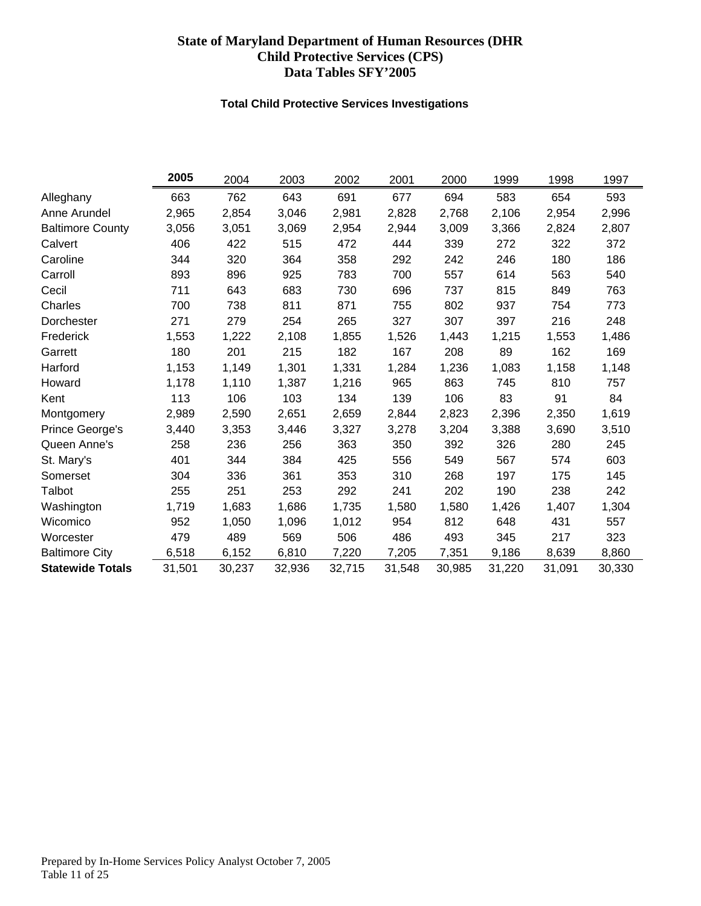#### **Total Child Protective Services Investigations**

<span id="page-10-0"></span>

|                         | 2005   | 2004   | 2003   | 2002   | 2001   | 2000   | 1999   | 1998   | 1997   |
|-------------------------|--------|--------|--------|--------|--------|--------|--------|--------|--------|
| Alleghany               | 663    | 762    | 643    | 691    | 677    | 694    | 583    | 654    | 593    |
| Anne Arundel            | 2,965  | 2,854  | 3,046  | 2,981  | 2,828  | 2,768  | 2,106  | 2,954  | 2,996  |
| <b>Baltimore County</b> | 3,056  | 3,051  | 3,069  | 2,954  | 2,944  | 3,009  | 3,366  | 2,824  | 2,807  |
| Calvert                 | 406    | 422    | 515    | 472    | 444    | 339    | 272    | 322    | 372    |
| Caroline                | 344    | 320    | 364    | 358    | 292    | 242    | 246    | 180    | 186    |
| Carroll                 | 893    | 896    | 925    | 783    | 700    | 557    | 614    | 563    | 540    |
| Cecil                   | 711    | 643    | 683    | 730    | 696    | 737    | 815    | 849    | 763    |
| Charles                 | 700    | 738    | 811    | 871    | 755    | 802    | 937    | 754    | 773    |
| Dorchester              | 271    | 279    | 254    | 265    | 327    | 307    | 397    | 216    | 248    |
| Frederick               | 1,553  | 1,222  | 2,108  | 1,855  | 1,526  | 1,443  | 1,215  | 1,553  | 1,486  |
| Garrett                 | 180    | 201    | 215    | 182    | 167    | 208    | 89     | 162    | 169    |
| Harford                 | 1,153  | 1,149  | 1,301  | 1,331  | 1,284  | 1,236  | 1,083  | 1,158  | 1,148  |
| Howard                  | 1,178  | 1,110  | 1,387  | 1,216  | 965    | 863    | 745    | 810    | 757    |
| Kent                    | 113    | 106    | 103    | 134    | 139    | 106    | 83     | 91     | 84     |
| Montgomery              | 2,989  | 2,590  | 2,651  | 2,659  | 2,844  | 2,823  | 2,396  | 2,350  | 1,619  |
| Prince George's         | 3,440  | 3,353  | 3,446  | 3,327  | 3,278  | 3,204  | 3,388  | 3,690  | 3,510  |
| Queen Anne's            | 258    | 236    | 256    | 363    | 350    | 392    | 326    | 280    | 245    |
| St. Mary's              | 401    | 344    | 384    | 425    | 556    | 549    | 567    | 574    | 603    |
| Somerset                | 304    | 336    | 361    | 353    | 310    | 268    | 197    | 175    | 145    |
| Talbot                  | 255    | 251    | 253    | 292    | 241    | 202    | 190    | 238    | 242    |
| Washington              | 1,719  | 1,683  | 1,686  | 1,735  | 1,580  | 1,580  | 1,426  | 1,407  | 1,304  |
| Wicomico                | 952    | 1,050  | 1,096  | 1,012  | 954    | 812    | 648    | 431    | 557    |
| Worcester               | 479    | 489    | 569    | 506    | 486    | 493    | 345    | 217    | 323    |
| <b>Baltimore City</b>   | 6,518  | 6,152  | 6,810  | 7,220  | 7,205  | 7,351  | 9,186  | 8,639  | 8,860  |
| <b>Statewide Totals</b> | 31,501 | 30,237 | 32,936 | 32,715 | 31,548 | 30,985 | 31,220 | 31,091 | 30,330 |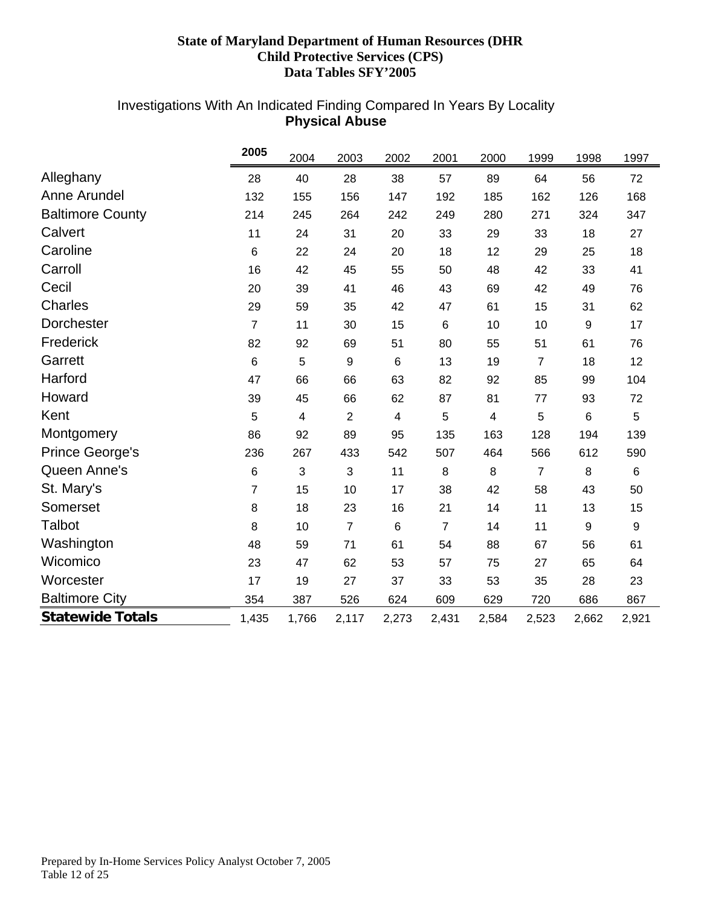# <span id="page-11-0"></span>Investigations With An Indicated Finding Compared In Years By Locality **Physical Abuse**

|                         | 2005           | 2004  | 2003           | 2002                    | 2001           | 2000                    | 1999           | 1998  | 1997  |
|-------------------------|----------------|-------|----------------|-------------------------|----------------|-------------------------|----------------|-------|-------|
| Alleghany               | 28             | 40    | 28             | 38                      | 57             | 89                      | 64             | 56    | 72    |
| <b>Anne Arundel</b>     | 132            | 155   | 156            | 147                     | 192            | 185                     | 162            | 126   | 168   |
| <b>Baltimore County</b> | 214            | 245   | 264            | 242                     | 249            | 280                     | 271            | 324   | 347   |
| Calvert                 | 11             | 24    | 31             | 20                      | 33             | 29                      | 33             | 18    | 27    |
| Caroline                | $\,6$          | 22    | 24             | 20                      | 18             | 12                      | 29             | 25    | 18    |
| Carroll                 | 16             | 42    | 45             | 55                      | 50             | 48                      | 42             | 33    | 41    |
| Cecil                   | 20             | 39    | 41             | 46                      | 43             | 69                      | 42             | 49    | 76    |
| <b>Charles</b>          | 29             | 59    | 35             | 42                      | 47             | 61                      | 15             | 31    | 62    |
| Dorchester              | $\overline{7}$ | 11    | 30             | 15                      | 6              | 10                      | 10             | 9     | 17    |
| Frederick               | 82             | 92    | 69             | 51                      | 80             | 55                      | 51             | 61    | 76    |
| Garrett                 | 6              | 5     | 9              | 6                       | 13             | 19                      | 7              | 18    | 12    |
| Harford                 | 47             | 66    | 66             | 63                      | 82             | 92                      | 85             | 99    | 104   |
| Howard                  | 39             | 45    | 66             | 62                      | 87             | 81                      | 77             | 93    | 72    |
| Kent                    | 5              | 4     | $\overline{2}$ | $\overline{\mathbf{4}}$ | 5              | $\overline{\mathbf{4}}$ | 5              | 6     | 5     |
| Montgomery              | 86             | 92    | 89             | 95                      | 135            | 163                     | 128            | 194   | 139   |
| <b>Prince George's</b>  | 236            | 267   | 433            | 542                     | 507            | 464                     | 566            | 612   | 590   |
| Queen Anne's            | 6              | 3     | 3              | 11                      | 8              | 8                       | $\overline{7}$ | 8     | 6     |
| St. Mary's              | $\overline{7}$ | 15    | 10             | 17                      | 38             | 42                      | 58             | 43    | 50    |
| Somerset                | 8              | 18    | 23             | 16                      | 21             | 14                      | 11             | 13    | 15    |
| <b>Talbot</b>           | 8              | 10    | $\overline{7}$ | 6                       | $\overline{7}$ | 14                      | 11             | 9     | 9     |
| Washington              | 48             | 59    | 71             | 61                      | 54             | 88                      | 67             | 56    | 61    |
| Wicomico                | 23             | 47    | 62             | 53                      | 57             | 75                      | 27             | 65    | 64    |
| Worcester               | 17             | 19    | 27             | 37                      | 33             | 53                      | 35             | 28    | 23    |
| <b>Baltimore City</b>   | 354            | 387   | 526            | 624                     | 609            | 629                     | 720            | 686   | 867   |
| <b>Statewide Totals</b> | 1,435          | 1,766 | 2,117          | 2,273                   | 2,431          | 2,584                   | 2,523          | 2,662 | 2,921 |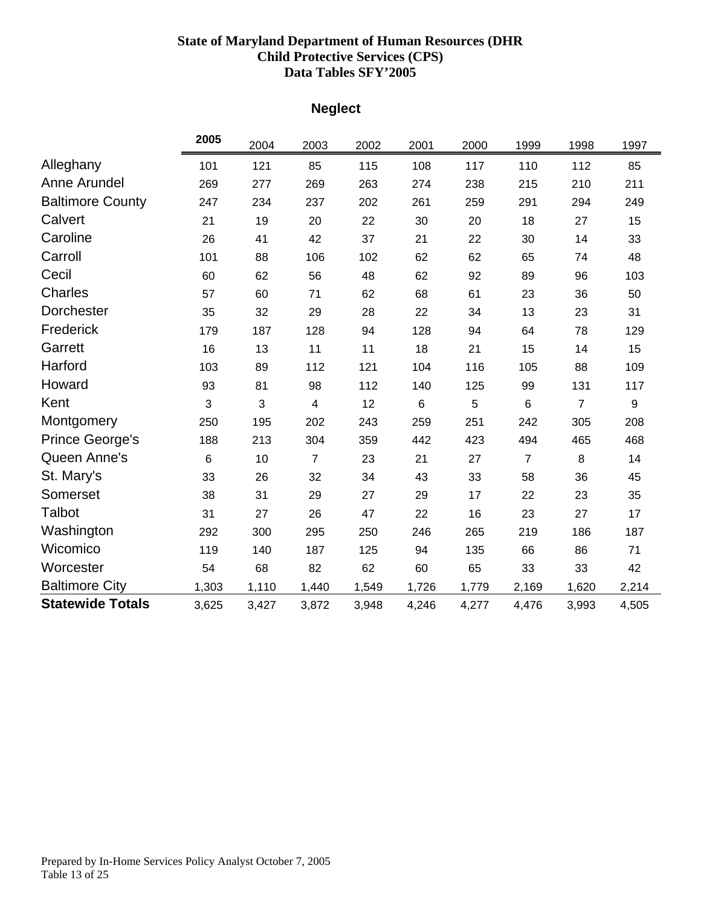# **Neglect**

<span id="page-12-0"></span>

|                         | 2005            | 2004  | 2003                    | 2002  | 2001  | 2000  | 1999           | 1998           | 1997             |
|-------------------------|-----------------|-------|-------------------------|-------|-------|-------|----------------|----------------|------------------|
| Alleghany               | 101             | 121   | 85                      | 115   | 108   | 117   | 110            | 112            | 85               |
| Anne Arundel            | 269             | 277   | 269                     | 263   | 274   | 238   | 215            | 210            | 211              |
| <b>Baltimore County</b> | 247             | 234   | 237                     | 202   | 261   | 259   | 291            | 294            | 249              |
| Calvert                 | 21              | 19    | 20                      | 22    | 30    | 20    | 18             | 27             | 15               |
| Caroline                | 26              | 41    | 42                      | 37    | 21    | 22    | 30             | 14             | 33               |
| Carroll                 | 101             | 88    | 106                     | 102   | 62    | 62    | 65             | 74             | 48               |
| Cecil                   | 60              | 62    | 56                      | 48    | 62    | 92    | 89             | 96             | 103              |
| <b>Charles</b>          | 57              | 60    | 71                      | 62    | 68    | 61    | 23             | 36             | 50               |
| <b>Dorchester</b>       | 35              | 32    | 29                      | 28    | 22    | 34    | 13             | 23             | 31               |
| Frederick               | 179             | 187   | 128                     | 94    | 128   | 94    | 64             | 78             | 129              |
| Garrett                 | 16              | 13    | 11                      | 11    | 18    | 21    | 15             | 14             | 15               |
| Harford                 | 103             | 89    | 112                     | 121   | 104   | 116   | 105            | 88             | 109              |
| Howard                  | 93              | 81    | 98                      | 112   | 140   | 125   | 99             | 131            | 117              |
| Kent                    | 3               | 3     | $\overline{\mathbf{4}}$ | 12    | 6     | 5     | $6\phantom{1}$ | $\overline{7}$ | $\boldsymbol{9}$ |
| Montgomery              | 250             | 195   | 202                     | 243   | 259   | 251   | 242            | 305            | 208              |
| <b>Prince George's</b>  | 188             | 213   | 304                     | 359   | 442   | 423   | 494            | 465            | 468              |
| Queen Anne's            | $6\phantom{1}6$ | 10    | $\overline{7}$          | 23    | 21    | 27    | $\overline{7}$ | 8              | 14               |
| St. Mary's              | 33              | 26    | 32                      | 34    | 43    | 33    | 58             | 36             | 45               |
| Somerset                | 38              | 31    | 29                      | 27    | 29    | 17    | 22             | 23             | 35               |
| Talbot                  | 31              | 27    | 26                      | 47    | 22    | 16    | 23             | 27             | 17               |
| Washington              | 292             | 300   | 295                     | 250   | 246   | 265   | 219            | 186            | 187              |
| Wicomico                | 119             | 140   | 187                     | 125   | 94    | 135   | 66             | 86             | 71               |
| Worcester               | 54              | 68    | 82                      | 62    | 60    | 65    | 33             | 33             | 42               |
| <b>Baltimore City</b>   | 1,303           | 1,110 | 1,440                   | 1,549 | 1,726 | 1,779 | 2,169          | 1,620          | 2,214            |
| <b>Statewide Totals</b> | 3,625           | 3,427 | 3,872                   | 3,948 | 4,246 | 4,277 | 4,476          | 3,993          | 4,505            |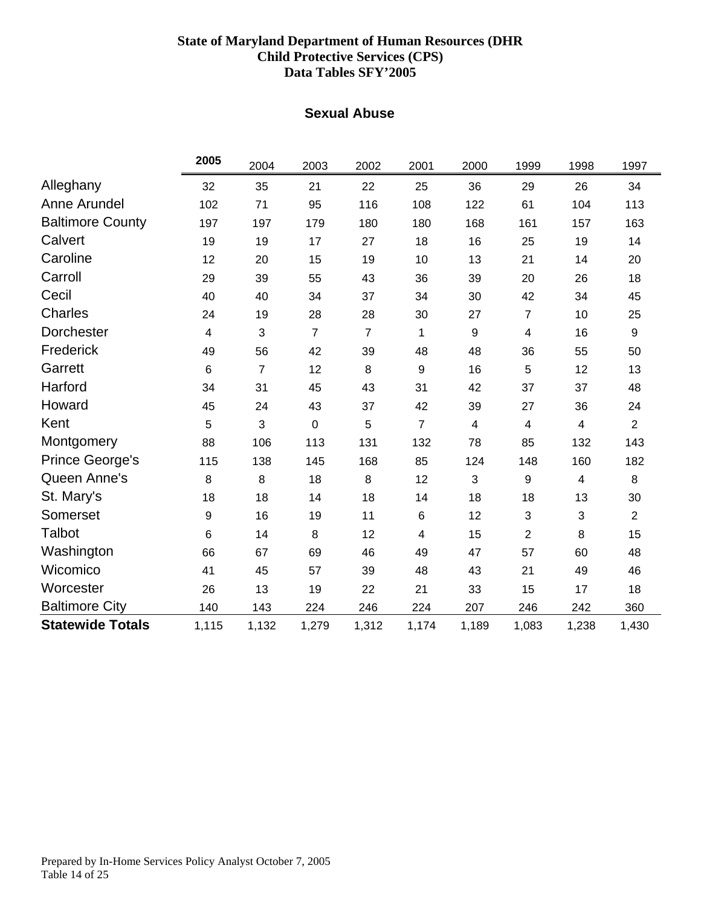### **Sexual Abuse**

<span id="page-13-0"></span>

|                         | 2005  | 2004           | 2003           | 2002           | 2001           | 2000             | 1999           | 1998                    | 1997           |
|-------------------------|-------|----------------|----------------|----------------|----------------|------------------|----------------|-------------------------|----------------|
| Alleghany               | 32    | 35             | 21             | 22             | 25             | 36               | 29             | 26                      | 34             |
| Anne Arundel            | 102   | 71             | 95             | 116            | 108            | 122              | 61             | 104                     | 113            |
| <b>Baltimore County</b> | 197   | 197            | 179            | 180            | 180            | 168              | 161            | 157                     | 163            |
| Calvert                 | 19    | 19             | 17             | 27             | 18             | 16               | 25             | 19                      | 14             |
| Caroline                | 12    | 20             | 15             | 19             | 10             | 13               | 21             | 14                      | 20             |
| Carroll                 | 29    | 39             | 55             | 43             | 36             | 39               | 20             | 26                      | 18             |
| Cecil                   | 40    | 40             | 34             | 37             | 34             | 30               | 42             | 34                      | 45             |
| <b>Charles</b>          | 24    | 19             | 28             | 28             | 30             | 27               | $\overline{7}$ | 10                      | 25             |
| Dorchester              | 4     | 3              | $\overline{7}$ | $\overline{7}$ | 1              | $\boldsymbol{9}$ | 4              | 16                      | 9              |
| Frederick               | 49    | 56             | 42             | 39             | 48             | 48               | 36             | 55                      | 50             |
| Garrett                 | 6     | $\overline{7}$ | 12             | 8              | 9              | 16               | 5              | 12                      | 13             |
| Harford                 | 34    | 31             | 45             | 43             | 31             | 42               | 37             | 37                      | 48             |
| Howard                  | 45    | 24             | 43             | 37             | 42             | 39               | 27             | 36                      | 24             |
| Kent                    | 5     | 3              | 0              | 5              | $\overline{7}$ | 4                | $\overline{4}$ | $\overline{4}$          | $\overline{2}$ |
| Montgomery              | 88    | 106            | 113            | 131            | 132            | 78               | 85             | 132                     | 143            |
| <b>Prince George's</b>  | 115   | 138            | 145            | 168            | 85             | 124              | 148            | 160                     | 182            |
| Queen Anne's            | 8     | 8              | 18             | 8              | 12             | $\sqrt{3}$       | 9              | $\overline{\mathbf{4}}$ | 8              |
| St. Mary's              | 18    | 18             | 14             | 18             | 14             | 18               | 18             | 13                      | 30             |
| Somerset                | 9     | 16             | 19             | 11             | 6              | 12               | 3              | 3                       | $\overline{2}$ |
| <b>Talbot</b>           | 6     | 14             | 8              | 12             | 4              | 15               | $\overline{2}$ | 8                       | 15             |
| Washington              | 66    | 67             | 69             | 46             | 49             | 47               | 57             | 60                      | 48             |
| Wicomico                | 41    | 45             | 57             | 39             | 48             | 43               | 21             | 49                      | 46             |
| Worcester               | 26    | 13             | 19             | 22             | 21             | 33               | 15             | 17                      | 18             |
| <b>Baltimore City</b>   | 140   | 143            | 224            | 246            | 224            | 207              | 246            | 242                     | 360            |
| <b>Statewide Totals</b> | 1,115 | 1,132          | 1,279          | 1,312          | 1,174          | 1,189            | 1,083          | 1,238                   | 1,430          |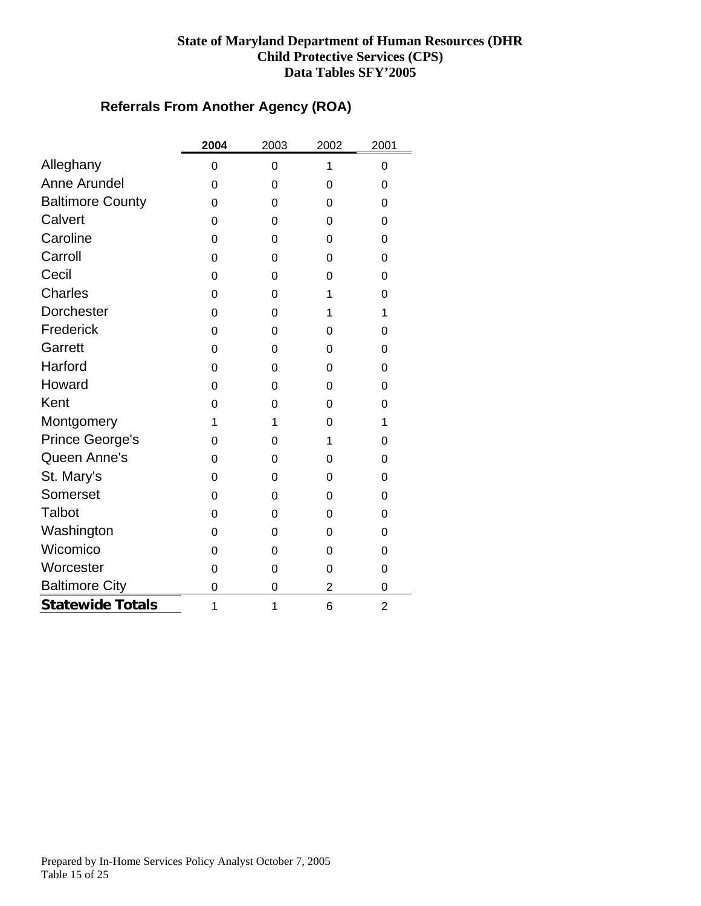# **Referrals From Another Agency (ROA)**

<span id="page-14-0"></span>

|                         | 2004 | 2003     | 2002           | 2001           |
|-------------------------|------|----------|----------------|----------------|
| Alleghany               | 0    | 0        | 1              | 0              |
| Anne Arundel            | 0    | 0        | 0              | 0              |
| <b>Baltimore County</b> | 0    | 0        | $\Omega$       | 0              |
| Calvert                 | 0    | 0        | 0              | 0              |
| Caroline                | 0    | $\Omega$ | 0              | 0              |
| Carroll                 | 0    | 0        | 0              | 0              |
| Cecil                   | 0    | 0        | 0              | 0              |
| <b>Charles</b>          | 0    | 0        | 1              | 0              |
| <b>Dorchester</b>       | 0    | 0        | 1              | 1              |
| Frederick               | 0    | 0        | 0              | 0              |
| Garrett                 | 0    | 0        | $\Omega$       | 0              |
| Harford                 | 0    | 0        | $\Omega$       | 0              |
| Howard                  | 0    | 0        | $\Omega$       | 0              |
| Kent                    | 0    | 0        | 0              | 0              |
| Montgomery              | 1    | 1        | 0              | 1              |
| Prince George's         | 0    | 0        | 1              | 0              |
| Queen Anne's            | 0    | 0        | 0              | 0              |
| St. Mary's              | 0    | 0        | $\Omega$       | 0              |
| Somerset                | 0    | 0        | $\Omega$       | 0              |
| Talbot                  | 0    | 0        | 0              | 0              |
| Washington              | 0    | 0        | 0              | 0              |
| Wicomico                | 0    | 0        | $\Omega$       | 0              |
| Worcester               | 0    | 0        | 0              | 0              |
| <b>Baltimore City</b>   | 0    | 0        | $\overline{2}$ | 0              |
| <b>Statewide Totals</b> | 1    | 1        | 6              | $\overline{2}$ |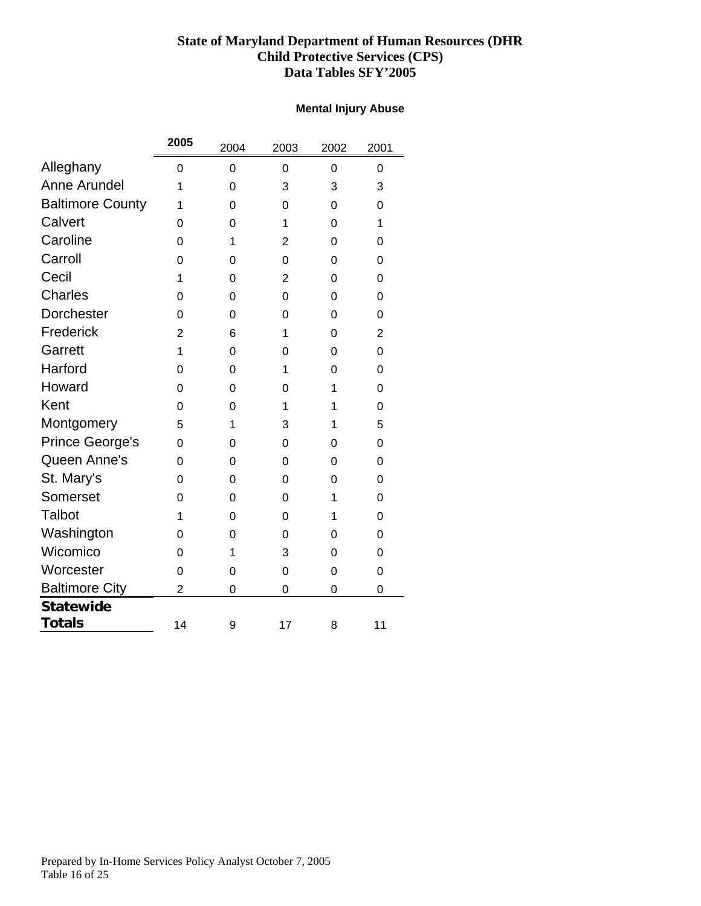#### **Mental Injury Abuse**

<span id="page-15-0"></span>

|                         | 2005           | 2004     | 2003           | 2002 | 2001           |
|-------------------------|----------------|----------|----------------|------|----------------|
| Alleghany               | 0              | 0        | 0              | 0    | 0              |
| <b>Anne Arundel</b>     | 1              | 0        | 3              | 3    | 3              |
| <b>Baltimore County</b> | 1              | 0        | 0              | 0    | 0              |
| Calvert                 | 0              | 0        | 1              | 0    | 1              |
| Caroline                | 0              | 1        | $\overline{2}$ | 0    | 0              |
| Carroll                 | 0              | $\Omega$ | 0              | 0    | $\Omega$       |
| Cecil                   | 1              | 0        | $\overline{2}$ | 0    | 0              |
| <b>Charles</b>          | 0              | 0        | 0              | 0    | 0              |
| Dorchester              | 0              | 0        | 0              | 0    | 0              |
| Frederick               | $\overline{2}$ | 6        | 1              | 0    | $\overline{2}$ |
| Garrett                 | 1              | 0        | 0              | 0    | 0              |
| Harford                 | 0              | 0        | 1              | 0    | 0              |
| Howard                  | 0              | 0        | 0              | 1    | 0              |
| Kent                    | 0              | 0        | 1              | 1    | 0              |
| Montgomery              | 5              | 1        | 3              | 1    | 5              |
| Prince George's         | 0              | 0        | 0              | 0    | 0              |
| Queen Anne's            | 0              | $\Omega$ | 0              | 0    | $\Omega$       |
| St. Mary's              | 0              | 0        | 0              | 0    | 0              |
| Somerset                | 0              | 0        | $\mathbf 0$    | 1    | 0              |
| Talbot                  | 1              | 0        | 0              | 1    | 0              |
| Washington              | 0              | 0        | 0              | 0    | 0              |
| Wicomico                | 0              | 1        | 3              | 0    | 0              |
| Worcester               | 0              | 0        | $\mathbf 0$    | 0    | 0              |
| <b>Baltimore City</b>   | $\overline{2}$ | 0        | 0              | 0    | 0              |
| <b>Statewide</b>        |                |          |                |      |                |
| <b>Totals</b>           | 14             | 9        | 17             | 8    | 11             |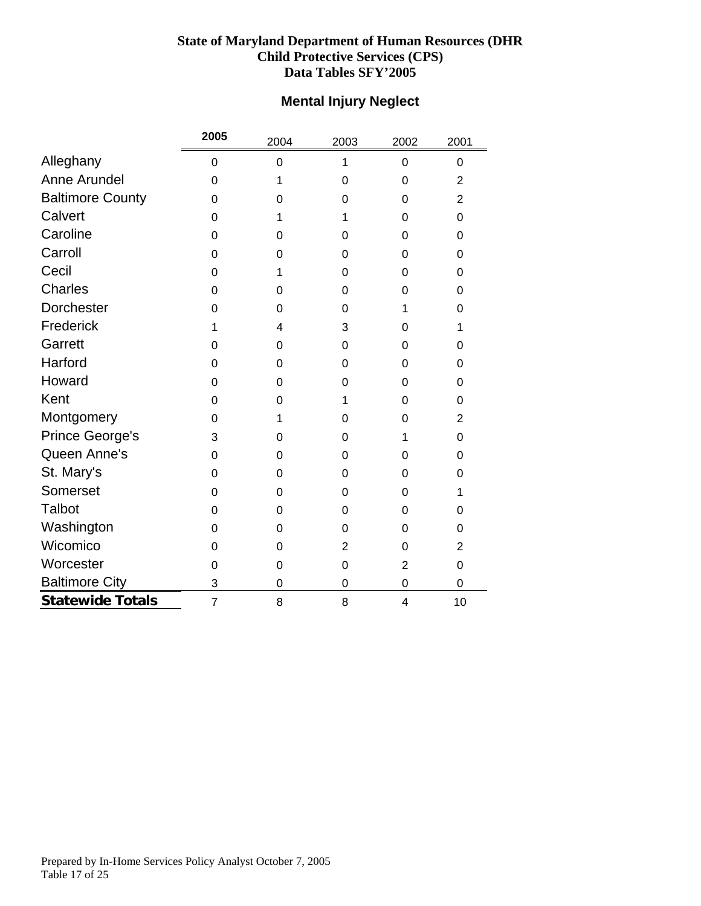# **Mental Injury Neglect**

<span id="page-16-0"></span>

|                         | 2005           | 2004           | 2003           | 2002           | 2001           |
|-------------------------|----------------|----------------|----------------|----------------|----------------|
| Alleghany               | 0              | $\overline{0}$ | 1              | $\mathbf 0$    | 0              |
| Anne Arundel            | 0              | 1              | $\mathbf 0$    | $\mathbf 0$    | $\overline{2}$ |
| <b>Baltimore County</b> | 0              | 0              | $\mathbf 0$    | $\mathbf 0$    | $\overline{2}$ |
| Calvert                 | 0              | 1              | 1              | $\mathbf 0$    | 0              |
| Caroline                | 0              | 0              | 0              | 0              | $\Omega$       |
| Carroll                 | 0              | $\Omega$       | 0              | 0              | 0              |
| Cecil                   | 0              | 1              | 0              | 0              | 0              |
| Charles                 | 0              | 0              | 0              | 0              | 0              |
| Dorchester              | 0              | $\mathbf 0$    | 0              | 1              | 0              |
| Frederick               | 1              | 4              | 3              | $\mathbf 0$    | $\mathbf{1}$   |
| Garrett                 | 0              | 0              | 0              | 0              | $\Omega$       |
| Harford                 | 0              | $\Omega$       | 0              | $\Omega$       | $\Omega$       |
| Howard                  | 0              | 0              | 0              | 0              | 0              |
| Kent                    | 0              | 0              | 1              | 0              | $\Omega$       |
| Montgomery              | 0              | 1              | 0              | $\mathbf 0$    | $\overline{2}$ |
| Prince George's         | 3              | 0              | $\mathbf 0$    | 1              | 0              |
| Queen Anne's            | 0              | $\Omega$       | 0              | $\mathbf 0$    | 0              |
| St. Mary's              | 0              | 0              | 0              | 0              | $\Omega$       |
| Somerset                | 0              | $\Omega$       | 0              | 0              | 1              |
| <b>Talbot</b>           | 0              | $\Omega$       | 0              | 0              | 0              |
| Washington              | 0              | 0              | $\mathbf 0$    | $\mathbf 0$    | 0              |
| Wicomico                | 0              | 0              | $\overline{2}$ | $\mathbf 0$    | $\overline{2}$ |
| Worcester               | 0              | $\mathbf 0$    | $\mathbf 0$    | $\overline{2}$ | 0              |
| <b>Baltimore City</b>   | 3              | 0              | 0              | $\mathbf 0$    | $\mathbf 0$    |
| <b>Statewide Totals</b> | $\overline{7}$ | 8              | 8              | 4              | 10             |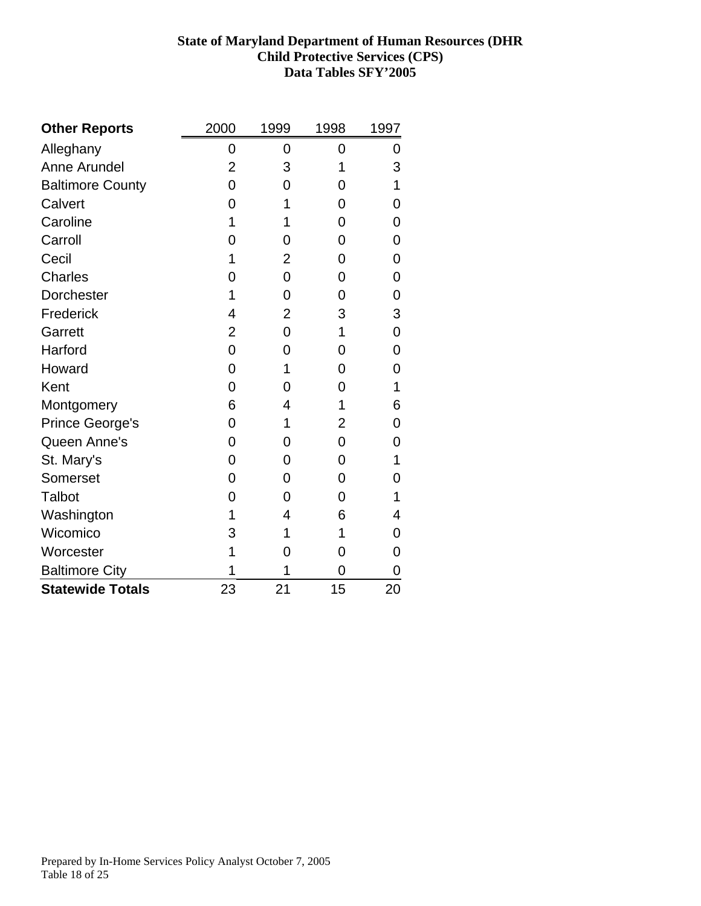<span id="page-17-0"></span>

| <b>Other Reports</b>    | 2000 | 1999           | 1998 | 1997 |
|-------------------------|------|----------------|------|------|
| Alleghany               | 0    | 0              | 0    | 0    |
| <b>Anne Arundel</b>     | 2    | 3              | 1    | 3    |
| <b>Baltimore County</b> | 0    | 0              | 0    | 1    |
| Calvert                 | 0    | 1              | 0    | 0    |
| Caroline                | 1    | 1              | 0    | 0    |
| Carroll                 | Ω    | 0              | 0    | 0    |
| Cecil                   | 1    | $\overline{2}$ | 0    | 0    |
| <b>Charles</b>          | 0    | 0              | 0    | 0    |
| <b>Dorchester</b>       | 1    | 0              | 0    | 0    |
| Frederick               | 4    | 2              | 3    | 3    |
| Garrett                 | 2    | 0              | 1    | 0    |
| Harford                 | 0    | 0              | 0    | 0    |
| Howard                  | 0    | 1              | 0    | 0    |
| Kent                    | 0    | 0              | 0    | 1    |
| Montgomery              | 6    | 4              | 1    | 6    |
| <b>Prince George's</b>  | 0    | 1              | 2    | 0    |
| Queen Anne's            | 0    | 0              | 0    | 0    |
| St. Mary's              | 0    | 0              | 0    | 1    |
| Somerset                | 0    | 0              | 0    | 0    |
| Talbot                  | 0    | 0              | 0    | 1    |
| Washington              | 1    | 4              | 6    | 4    |
| Wicomico                | 3    | 1              | 1    | 0    |
| Worcester               | 1    | 0              | 0    | 0    |
| <b>Baltimore City</b>   | 1    | 1              | 0    | 0    |
| <b>Statewide Totals</b> | 23   | 21             | 15   | 20   |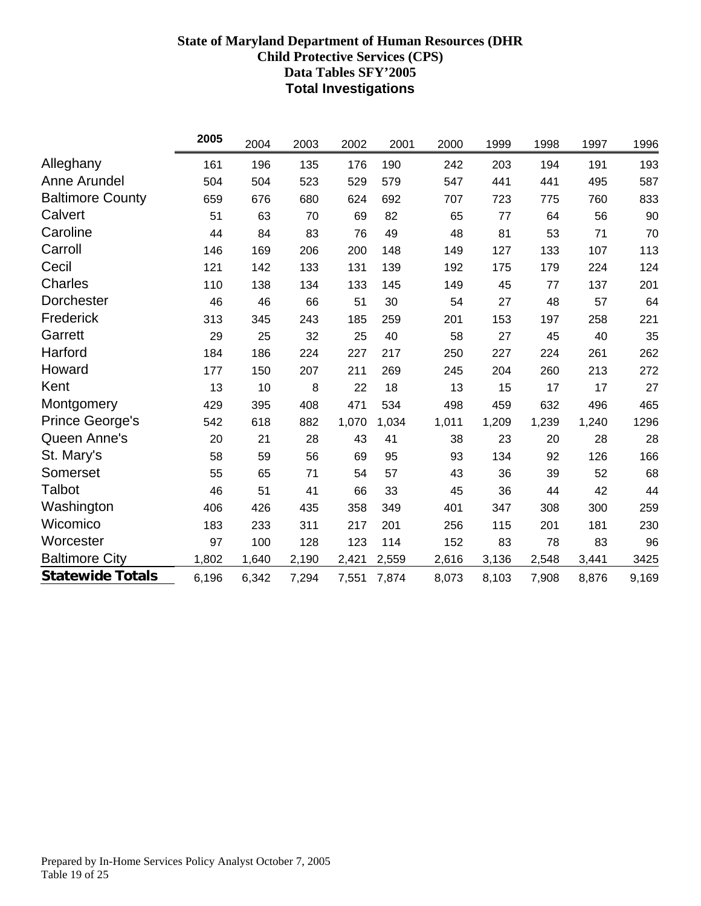# **State of Maryland Department of Human Resources (DHR Child Protective Services (CPS) Data Tables SFY'2005 Total Investigations**

<span id="page-18-0"></span>

|                         | 2005  | 2004  | 2003  | 2002  | 2001  | 2000  | 1999  | 1998  | 1997  | 1996  |
|-------------------------|-------|-------|-------|-------|-------|-------|-------|-------|-------|-------|
| Alleghany               | 161   | 196   | 135   | 176   | 190   | 242   | 203   | 194   | 191   | 193   |
| Anne Arundel            | 504   | 504   | 523   | 529   | 579   | 547   | 441   | 441   | 495   | 587   |
| <b>Baltimore County</b> | 659   | 676   | 680   | 624   | 692   | 707   | 723   | 775   | 760   | 833   |
| Calvert                 | 51    | 63    | 70    | 69    | 82    | 65    | 77    | 64    | 56    | 90    |
| Caroline                | 44    | 84    | 83    | 76    | 49    | 48    | 81    | 53    | 71    | 70    |
| Carroll                 | 146   | 169   | 206   | 200   | 148   | 149   | 127   | 133   | 107   | 113   |
| Cecil                   | 121   | 142   | 133   | 131   | 139   | 192   | 175   | 179   | 224   | 124   |
| <b>Charles</b>          | 110   | 138   | 134   | 133   | 145   | 149   | 45    | 77    | 137   | 201   |
| Dorchester              | 46    | 46    | 66    | 51    | 30    | 54    | 27    | 48    | 57    | 64    |
| Frederick               | 313   | 345   | 243   | 185   | 259   | 201   | 153   | 197   | 258   | 221   |
| Garrett                 | 29    | 25    | 32    | 25    | 40    | 58    | 27    | 45    | 40    | 35    |
| Harford                 | 184   | 186   | 224   | 227   | 217   | 250   | 227   | 224   | 261   | 262   |
| Howard                  | 177   | 150   | 207   | 211   | 269   | 245   | 204   | 260   | 213   | 272   |
| Kent                    | 13    | 10    | 8     | 22    | 18    | 13    | 15    | 17    | 17    | 27    |
| Montgomery              | 429   | 395   | 408   | 471   | 534   | 498   | 459   | 632   | 496   | 465   |
| <b>Prince George's</b>  | 542   | 618   | 882   | 1,070 | 1,034 | 1,011 | 1,209 | 1,239 | 1,240 | 1296  |
| Queen Anne's            | 20    | 21    | 28    | 43    | 41    | 38    | 23    | 20    | 28    | 28    |
| St. Mary's              | 58    | 59    | 56    | 69    | 95    | 93    | 134   | 92    | 126   | 166   |
| Somerset                | 55    | 65    | 71    | 54    | 57    | 43    | 36    | 39    | 52    | 68    |
| Talbot                  | 46    | 51    | 41    | 66    | 33    | 45    | 36    | 44    | 42    | 44    |
| Washington              | 406   | 426   | 435   | 358   | 349   | 401   | 347   | 308   | 300   | 259   |
| Wicomico                | 183   | 233   | 311   | 217   | 201   | 256   | 115   | 201   | 181   | 230   |
| Worcester               | 97    | 100   | 128   | 123   | 114   | 152   | 83    | 78    | 83    | 96    |
| <b>Baltimore City</b>   | 1,802 | 1,640 | 2,190 | 2,421 | 2,559 | 2,616 | 3,136 | 2,548 | 3,441 | 3425  |
| <b>Statewide Totals</b> | 6,196 | 6,342 | 7,294 | 7,551 | 7,874 | 8,073 | 8,103 | 7,908 | 8,876 | 9,169 |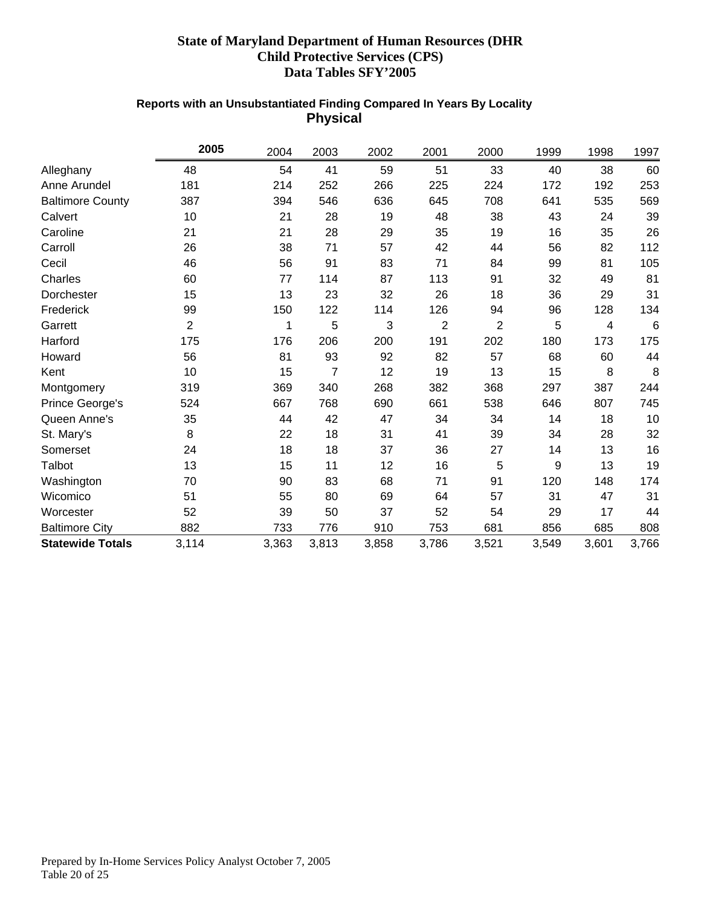#### **Reports with an Unsubstantiated Finding Compared In Years By Locality Physical**

<span id="page-19-0"></span>

|                         | 2005           | 2004  | 2003           | 2002  | 2001           | 2000           | 1999  | 1998  | 1997  |
|-------------------------|----------------|-------|----------------|-------|----------------|----------------|-------|-------|-------|
| Alleghany               | 48             | 54    | 41             | 59    | 51             | 33             | 40    | 38    | 60    |
| Anne Arundel            | 181            | 214   | 252            | 266   | 225            | 224            | 172   | 192   | 253   |
| <b>Baltimore County</b> | 387            | 394   | 546            | 636   | 645            | 708            | 641   | 535   | 569   |
| Calvert                 | 10             | 21    | 28             | 19    | 48             | 38             | 43    | 24    | 39    |
| Caroline                | 21             | 21    | 28             | 29    | 35             | 19             | 16    | 35    | 26    |
| Carroll                 | 26             | 38    | 71             | 57    | 42             | 44             | 56    | 82    | 112   |
| Cecil                   | 46             | 56    | 91             | 83    | 71             | 84             | 99    | 81    | 105   |
| Charles                 | 60             | 77    | 114            | 87    | 113            | 91             | 32    | 49    | 81    |
| Dorchester              | 15             | 13    | 23             | 32    | 26             | 18             | 36    | 29    | 31    |
| Frederick               | 99             | 150   | 122            | 114   | 126            | 94             | 96    | 128   | 134   |
| Garrett                 | $\overline{2}$ | 1     | 5              | 3     | $\overline{2}$ | $\overline{2}$ | 5     | 4     | 6     |
| Harford                 | 175            | 176   | 206            | 200   | 191            | 202            | 180   | 173   | 175   |
| Howard                  | 56             | 81    | 93             | 92    | 82             | 57             | 68    | 60    | 44    |
| Kent                    | 10             | 15    | $\overline{7}$ | 12    | 19             | 13             | 15    | 8     | 8     |
| Montgomery              | 319            | 369   | 340            | 268   | 382            | 368            | 297   | 387   | 244   |
| Prince George's         | 524            | 667   | 768            | 690   | 661            | 538            | 646   | 807   | 745   |
| Queen Anne's            | 35             | 44    | 42             | 47    | 34             | 34             | 14    | 18    | 10    |
| St. Mary's              | 8              | 22    | 18             | 31    | 41             | 39             | 34    | 28    | 32    |
| Somerset                | 24             | 18    | 18             | 37    | 36             | 27             | 14    | 13    | 16    |
| Talbot                  | 13             | 15    | 11             | 12    | 16             | 5              | 9     | 13    | 19    |
| Washington              | 70             | 90    | 83             | 68    | 71             | 91             | 120   | 148   | 174   |
| Wicomico                | 51             | 55    | 80             | 69    | 64             | 57             | 31    | 47    | 31    |
| Worcester               | 52             | 39    | 50             | 37    | 52             | 54             | 29    | 17    | 44    |
| <b>Baltimore City</b>   | 882            | 733   | 776            | 910   | 753            | 681            | 856   | 685   | 808   |
| <b>Statewide Totals</b> | 3,114          | 3,363 | 3,813          | 3,858 | 3,786          | 3,521          | 3,549 | 3,601 | 3,766 |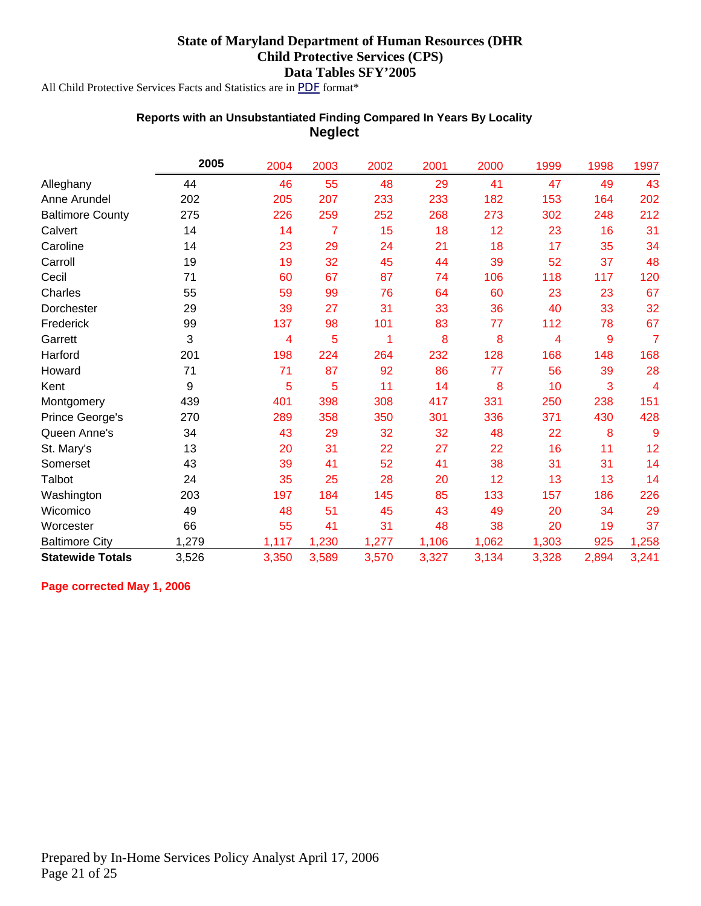<span id="page-20-0"></span>All Child Protective Services Facts and Statistics are in *PDF* format\*

#### **Reports with an Unsubstantiated Finding Compared In Years By Locality Neglect**

|                         | 2005  | 2004  | 2003  | 2002  | 2001  | 2000  | 1999  | 1998  | 1997  |
|-------------------------|-------|-------|-------|-------|-------|-------|-------|-------|-------|
| Alleghany               | 44    | 46    | 55    | 48    | 29    | 41    | 47    | 49    | 43    |
| Anne Arundel            | 202   | 205   | 207   | 233   | 233   | 182   | 153   | 164   | 202   |
| <b>Baltimore County</b> | 275   | 226   | 259   | 252   | 268   | 273   | 302   | 248   | 212   |
| Calvert                 | 14    | 14    | 7     | 15    | 18    | 12    | 23    | 16    | 31    |
| Caroline                | 14    | 23    | 29    | 24    | 21    | 18    | 17    | 35    | 34    |
| Carroll                 | 19    | 19    | 32    | 45    | 44    | 39    | 52    | 37    | 48    |
| Cecil                   | 71    | 60    | 67    | 87    | 74    | 106   | 118   | 117   | 120   |
| Charles                 | 55    | 59    | 99    | 76    | 64    | 60    | 23    | 23    | 67    |
| Dorchester              | 29    | 39    | 27    | 31    | 33    | 36    | 40    | 33    | 32    |
| Frederick               | 99    | 137   | 98    | 101   | 83    | 77    | 112   | 78    | 67    |
| Garrett                 | 3     | 4     | 5     | 1     | 8     | 8     | 4     | 9     | 7     |
| Harford                 | 201   | 198   | 224   | 264   | 232   | 128   | 168   | 148   | 168   |
| Howard                  | 71    | 71    | 87    | 92    | 86    | 77    | 56    | 39    | 28    |
| Kent                    | 9     | 5     | 5     | 11    | 14    | 8     | 10    | 3     | 4     |
| Montgomery              | 439   | 401   | 398   | 308   | 417   | 331   | 250   | 238   | 151   |
| Prince George's         | 270   | 289   | 358   | 350   | 301   | 336   | 371   | 430   | 428   |
| Queen Anne's            | 34    | 43    | 29    | 32    | 32    | 48    | 22    | 8     | 9     |
| St. Mary's              | 13    | 20    | 31    | 22    | 27    | 22    | 16    | 11    | 12    |
| Somerset                | 43    | 39    | 41    | 52    | 41    | 38    | 31    | 31    | 14    |
| Talbot                  | 24    | 35    | 25    | 28    | 20    | 12    | 13    | 13    | 14    |
| Washington              | 203   | 197   | 184   | 145   | 85    | 133   | 157   | 186   | 226   |
| Wicomico                | 49    | 48    | 51    | 45    | 43    | 49    | 20    | 34    | 29    |
| Worcester               | 66    | 55    | 41    | 31    | 48    | 38    | 20    | 19    | 37    |
| <b>Baltimore City</b>   | 1,279 | 1,117 | 1,230 | 1,277 | 1,106 | 1,062 | 1,303 | 925   | 1,258 |
| <b>Statewide Totals</b> | 3,526 | 3,350 | 3,589 | 3,570 | 3,327 | 3,134 | 3,328 | 2,894 | 3,241 |

**Page corrected May 1, 2006**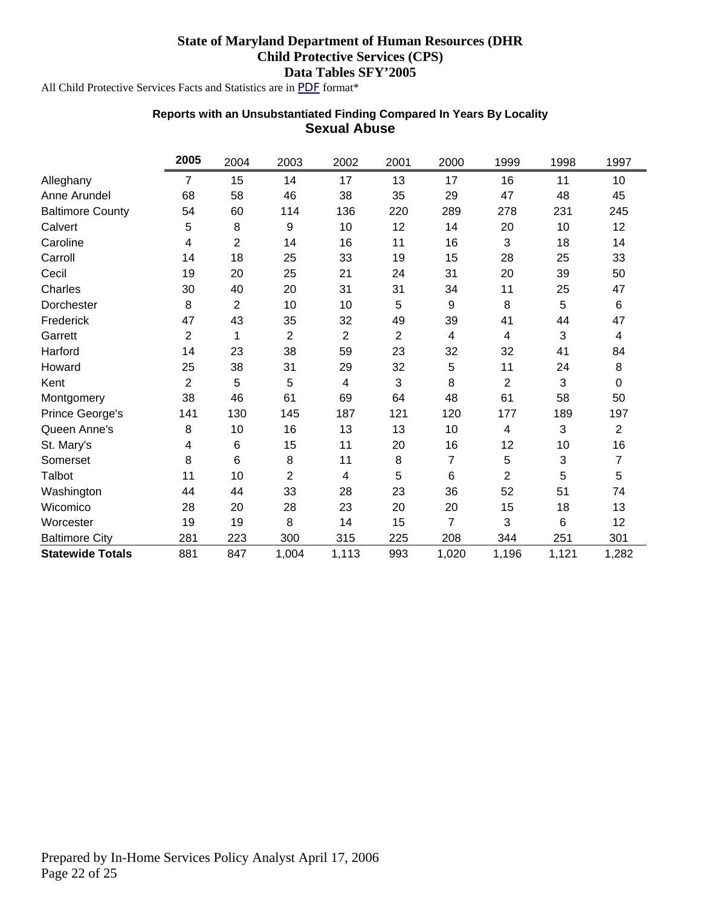<span id="page-21-0"></span>All Child Protective Services Facts and Statistics are in *PDF* format\*

#### **Reports with an Unsubstantiated Finding Compared In Years By Locality Sexual Abuse**

|                         | 2005           | 2004                    | 2003           | 2002           | 2001 | 2000  | 1999           | 1998                      | 1997            |
|-------------------------|----------------|-------------------------|----------------|----------------|------|-------|----------------|---------------------------|-----------------|
| Alleghany               | 7              | 15                      | 14             | 17             | 13   | 17    | 16             | 11                        | 10              |
| Anne Arundel            | 68             | 58                      | 46             | 38             | 35   | 29    | 47             | 48                        | 45              |
| <b>Baltimore County</b> | 54             | 60                      | 114            | 136            | 220  | 289   | 278            | 231                       | 245             |
| Calvert                 | 5              | 8                       | 9              | 10             | 12   | 14    | 20             | 10                        | 12 <sub>2</sub> |
| Caroline                | 4              | $\overline{\mathbf{c}}$ | 14             | 16             | 11   | 16    | 3              | 18                        | 14              |
| Carroll                 | 14             | 18                      | 25             | 33             | 19   | 15    | 28             | 25                        | 33              |
| Cecil                   | 19             | 20                      | 25             | 21             | 24   | 31    | 20             | 39                        | 50              |
| Charles                 | 30             | 40                      | 20             | 31             | 31   | 34    | 11             | 25                        | 47              |
| Dorchester              | 8              | $\overline{\mathbf{c}}$ | 10             | 10             | 5    | 9     | 8              | 5                         | 6               |
| Frederick               | 47             | 43                      | 35             | 32             | 49   | 39    | 41             | 44                        | 47              |
| Garrett                 | 2              | 1                       | 2              | $\overline{2}$ | 2    | 4     | 4              | 3                         | 4               |
| Harford                 | 14             | 23                      | 38             | 59             | 23   | 32    | 32             | 41                        | 84              |
| Howard                  | 25             | 38                      | 31             | 29             | 32   | 5     | 11             | 24                        | 8               |
| Kent                    | $\overline{2}$ | 5                       | 5              | 4              | 3    | 8     | $\overline{2}$ | 3                         | 0               |
| Montgomery              | 38             | 46                      | 61             | 69             | 64   | 48    | 61             | 58                        | 50              |
| Prince George's         | 141            | 130                     | 145            | 187            | 121  | 120   | 177            | 189                       | 197             |
| Queen Anne's            | 8              | 10                      | 16             | 13             | 13   | 10    | 4              | $\ensuremath{\mathsf{3}}$ | $\overline{2}$  |
| St. Mary's              | 4              | 6                       | 15             | 11             | 20   | 16    | 12             | 10                        | 16              |
| Somerset                | 8              | 6                       | 8              | 11             | 8    | 7     | 5              | $\ensuremath{\mathsf{3}}$ | $\overline{7}$  |
| Talbot                  | 11             | 10                      | $\overline{2}$ | 4              | 5    | 6     | $\overline{2}$ | 5                         | 5               |
| Washington              | 44             | 44                      | 33             | 28             | 23   | 36    | 52             | 51                        | 74              |
| Wicomico                | 28             | 20                      | 28             | 23             | 20   | 20    | 15             | 18                        | 13              |
| Worcester               | 19             | 19                      | 8              | 14             | 15   | 7     | 3              | 6                         | 12              |
| <b>Baltimore City</b>   | 281            | 223                     | 300            | 315            | 225  | 208   | 344            | 251                       | 301             |
| <b>Statewide Totals</b> | 881            | 847                     | 1,004          | 1,113          | 993  | 1,020 | 1,196          | 1,121                     | 1,282           |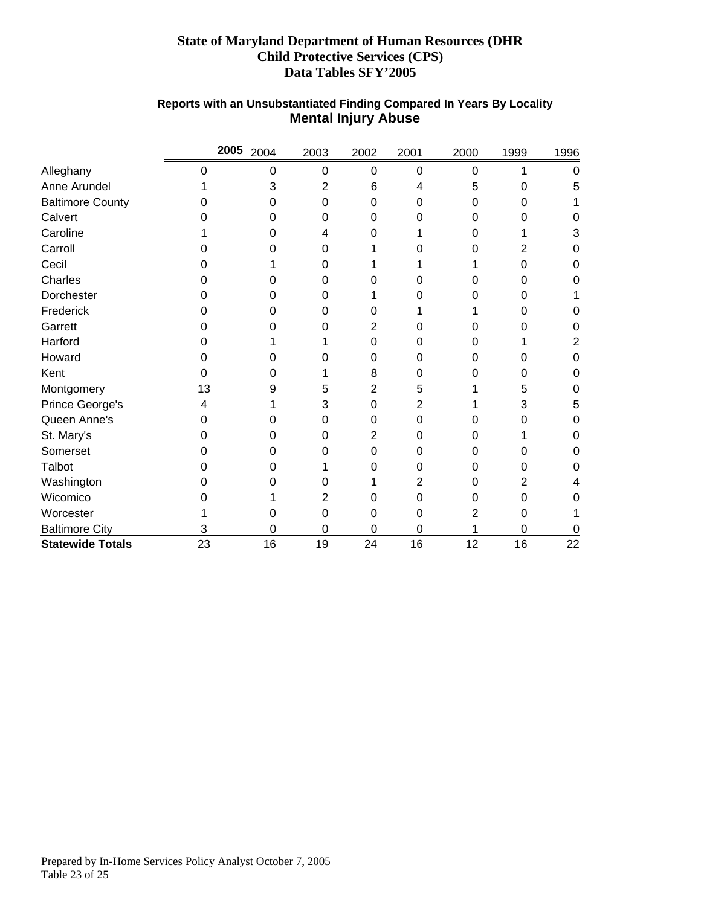<span id="page-22-0"></span>

|                         |    | 2005 2004 | 2003 | 2002 | 2001 | 2000 | 1999 | 1996 |
|-------------------------|----|-----------|------|------|------|------|------|------|
| Alleghany               | 0  | 0         | 0    | 0    | 0    | 0    | 1    | 0    |
| Anne Arundel            |    | 3         | 2    | 6    | 4    | 5    | 0    | 5    |
| <b>Baltimore County</b> |    | 0         | 0    | 0    | 0    | 0    | 0    |      |
| Calvert                 |    | Ω         | 0    | 0    |      | Ω    | O    | O    |
| Caroline                |    | 0         | 4    | 0    |      | 0    |      | 3    |
| Carroll                 |    |           | 0    |      |      | ი    | 2    | 0    |
| Cecil                   |    |           | 0    |      |      |      | ი    | 0    |
| Charles                 |    |           | 0    | O    |      | O    | Ω    | O    |
| Dorchester              |    |           | 0    |      |      | ი    |      |      |
| Frederick               |    | Ω         | 0    | 0    |      |      | O    | O    |
| Garrett                 |    |           | O    | 2    |      |      |      | 0    |
| Harford                 |    |           |      | 0    |      | 0    |      | 2    |
| Howard                  |    |           | O    | 0    |      | 0    |      | 0    |
| Kent                    |    | Ω         |      | 8    | 0    | ი    | 0    | 0    |
| Montgomery              | 13 | 9         | 5    | 2    | 5    |      | 5    | 0    |
| Prince George's         |    |           | 3    | 0    | 2    |      | 3    | 5    |
| Queen Anne's            |    | ი         | 0    | 0    | 0    | 0    | 0    | 0    |
| St. Mary's              |    | 0         | 0    | 2    | 0    | 0    |      | 0    |
| Somerset                |    | Ω         | 0    | 0    | 0    | 0    |      | O    |
| Talbot                  |    | ი         |      | 0    | 0    | 0    | O    | O    |
| Washington              |    |           | O    |      |      | 0    | 2    |      |
| Wicomico                |    |           | 2    | 0    | 0    | 0    | 0    | 0    |
| Worcester               |    | 0         | 0    | 0    | 0    | 2    | 0    |      |
| <b>Baltimore City</b>   | 3  | 0         | 0    | 0    | 0    |      | 0    | 0    |
| <b>Statewide Totals</b> | 23 | 16        | 19   | 24   | 16   | 12   | 16   | 22   |

# **Reports with an Unsubstantiated Finding Compared In Years By Locality Mental Injury Abuse**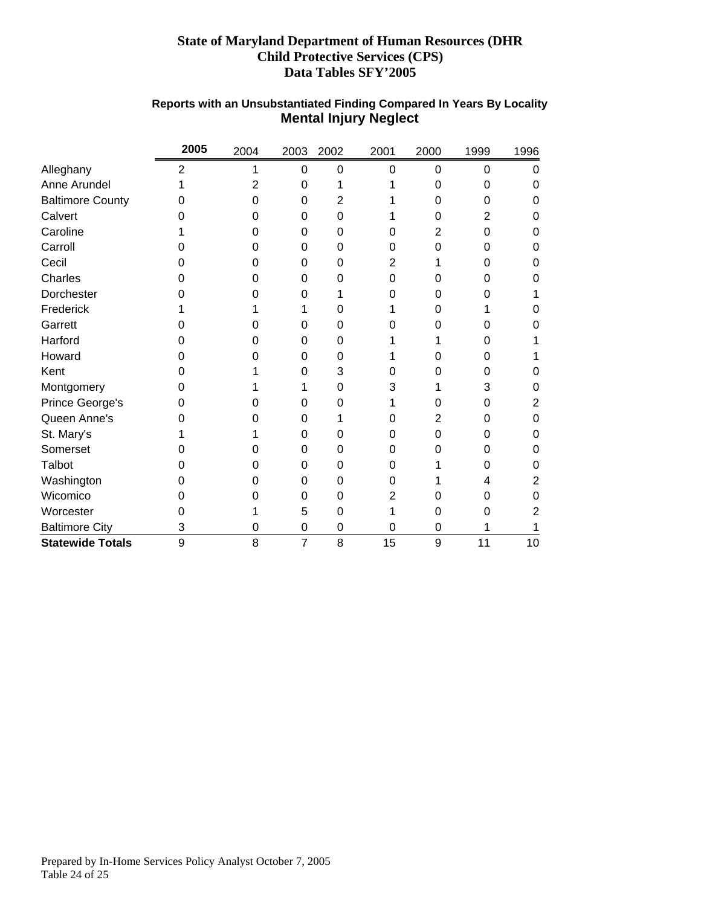<span id="page-23-0"></span>

|                         | 2005           | 2004 | 2003           | 2002 | 2001 | 2000           | 1999 | 1996 |
|-------------------------|----------------|------|----------------|------|------|----------------|------|------|
| Alleghany               | $\overline{2}$ | 1    | 0              | 0    | 0    | 0              | 0    | 0    |
| Anne Arundel            |                | 2    | 0              |      |      | 0              | 0    | 0    |
| <b>Baltimore County</b> | 0              | 0    | 0              | 2    |      | 0              | 0    | 0    |
| Calvert                 | O              | O    | 0              | 0    |      | 0              | 2    | 0    |
| Caroline                |                | O    | 0              | 0    | 0    | 2              | 0    | O    |
| Carroll                 | Ω              | O    | 0              | 0    | 0    | 0              | 0    | 0    |
| Cecil                   | Ω              | O    | 0              | 0    | 2    |                | 0    | 0    |
| Charles                 | Ω              | O    | 0              | O    | 0    | 0              | O    | O    |
| Dorchester              | 0              | 0    | $\Omega$       |      | ი    | 0              | Ω    |      |
| Frederick               |                |      |                | O    |      | 0              |      |      |
| Garrett                 |                |      | 0              | 0    |      | 0              |      |      |
| Harford                 | Ω              | O    | 0              | 0    |      |                | Ω    |      |
| Howard                  | O              | 0    | 0              | 0    |      | 0              | Ω    |      |
| Kent                    | 0              |      | 0              | 3    | O    | 0              | O    | 0    |
| Montgomery              | Ω              |      |                | 0    | 3    |                | 3    | O    |
| Prince George's         | 0              |      | 0              | 0    |      | 0              | 0    | 2    |
| Queen Anne's            |                |      | 0              |      | 0    | $\overline{2}$ | 0    | 0    |
| St. Mary's              |                |      | $\Omega$       | 0    | 0    | 0              | 0    | 0    |
| Somerset                |                |      | 0              | 0    | 0    | 0              | O    | O    |
| Talbot                  | 0              | O    | 0              | 0    | 0    |                | O    | 0    |
| Washington              | 0              | 0    | 0              | 0    | 0    |                | 4    | 2    |
| Wicomico                | 0              |      | 0              | 0    | 2    | 0              | 0    | O    |
| Worcester               |                |      | 5              | 0    |      | 0              | Ω    |      |
| <b>Baltimore City</b>   | 3              | 0    | 0              | 0    | 0    | 0              |      |      |
| <b>Statewide Totals</b> | 9              | 8    | $\overline{7}$ | 8    | 15   | 9              | 11   | 10   |

# **Reports with an Unsubstantiated Finding Compared In Years By Locality Mental Injury Neglect**